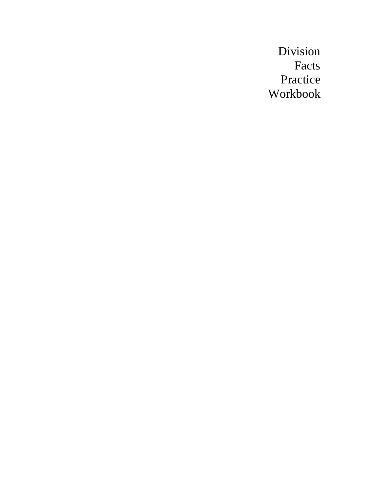Division Facts Practice Workbook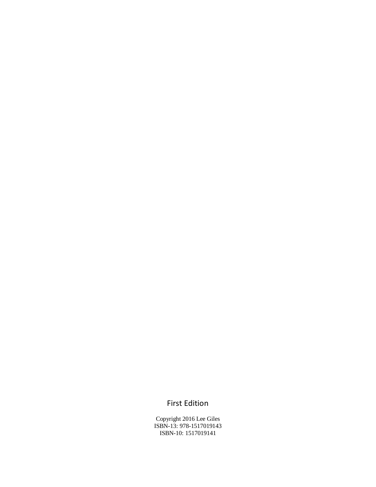## First Edition

Copyright 2016 Lee Giles ISBN-13: 978-1517019143 ISBN-10: 1517019141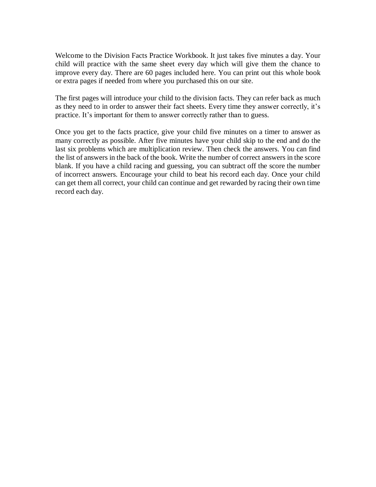Welcome to the Division Facts Practice Workbook. It just takes five minutes a day. Your child will practice with the same sheet every day which will give them the chance to improve every day. There are 60 pages included here. You can print out this whole book or extra pages if needed from where you purchased this on our site.

The first pages will introduce your child to the division facts. They can refer back as much as they need to in order to answer their fact sheets. Every time they answer correctly, it's practice. It's important for them to answer correctly rather than to guess.

Once you get to the facts practice, give your child five minutes on a timer to answer as many correctly as possible. After five minutes have your child skip to the end and do the last six problems which are multiplication review. Then check the answers. You can find the list of answers in the back of the book. Write the number of correct answers in the score blank. If you have a child racing and guessing, you can subtract off the score the number of incorrect answers. Encourage your child to beat his record each day. Once your child can get them all correct, your child can continue and get rewarded by racing their own time record each day.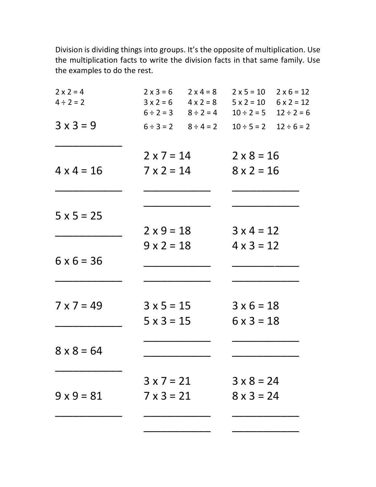Division is dividing things into groups. It's the opposite of multiplication. Use the multiplication facts to write the division facts in that same family. Use the examples to do the rest.

| $2 \times 2 = 4$  |                   | $2 \times 3 = 6$ $2 \times 4 = 8$ | $2 \times 5 = 10$ | $2 \times 6 = 12$               |
|-------------------|-------------------|-----------------------------------|-------------------|---------------------------------|
| $4 \div 2 = 2$    |                   | $3x2=6$ $4x2=8$                   | $5 x 2 = 10$      | $6 \times 2 = 12$               |
|                   |                   | $6 \div 2 = 3$ $8 \div 2 = 4$     | $10 \div 2 = 5$   | $12 \div 2 = 6$                 |
| $3 \times 3 = 9$  |                   | $6 \div 3 = 2$ $8 \div 4 = 2$     |                   | $10 \div 5 = 2$ $12 \div 6 = 2$ |
|                   | $2 \times 7 = 14$ |                                   | $2 \times 8 = 16$ |                                 |
| $4 \times 4 = 16$ | $7 \times 2 = 14$ |                                   | $8 \times 2 = 16$ |                                 |
|                   |                   |                                   |                   |                                 |
| $5 x 5 = 25$      |                   |                                   |                   |                                 |
|                   | $2 \times 9 = 18$ |                                   | $3 \times 4 = 12$ |                                 |
|                   | $9 \times 2 = 18$ |                                   | $4 \times 3 = 12$ |                                 |
| $6 \times 6 = 36$ |                   |                                   |                   |                                 |
|                   |                   |                                   |                   |                                 |
| $7 \times 7 = 49$ | $3 \times 5 = 15$ |                                   | $3 \times 6 = 18$ |                                 |
|                   | $5 \times 3 = 15$ |                                   | $6 \times 3 = 18$ |                                 |
|                   |                   |                                   |                   |                                 |
| $8 \times 8 = 64$ |                   |                                   |                   |                                 |
|                   | $3 \times 7 = 21$ |                                   | $3 \times 8 = 24$ |                                 |
| $9 \times 9 = 81$ | $7 \times 3 = 21$ |                                   | $8 \times 3 = 24$ |                                 |
|                   |                   |                                   |                   |                                 |
|                   |                   |                                   |                   |                                 |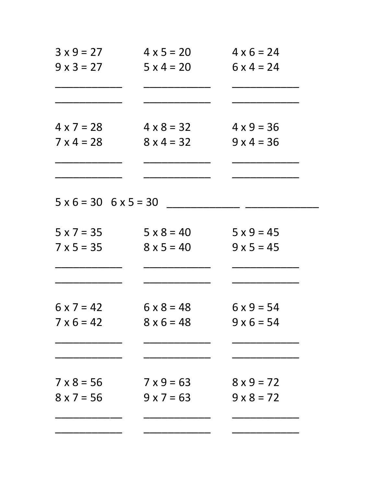| $3 \times 9 = 27$                   | $4 \times 5 = 20$ | $4 \times 6 = 24$ |
|-------------------------------------|-------------------|-------------------|
| $9 \times 3 = 27$                   | $5 \times 4 = 20$ | $6 \times 4 = 24$ |
|                                     |                   |                   |
| $4 \times 7 = 28$                   | $4 \times 8 = 32$ | $4 \times 9 = 36$ |
| $7 \times 4 = 28$                   | $8x4=32$          | $9x4 = 36$        |
|                                     |                   |                   |
| $5 \times 6 = 30$ $6 \times 5 = 30$ |                   |                   |
| $5 \times 7 = 35$                   | $5 \times 8 = 40$ | $5 \times 9 = 45$ |
| $7 \times 5 = 35$                   | $8 \times 5 = 40$ | $9 \times 5 = 45$ |
|                                     |                   |                   |
| $6 \times 7 = 42$                   | $6 \times 8 = 48$ | $6 \times 9 = 54$ |
| $7 \times 6 = 42$                   | $8 \times 6 = 48$ | $9 \times 6 = 54$ |
|                                     |                   |                   |
| $7 \times 8 = 56$                   | $7 \times 9 = 63$ | $8 \times 9 = 72$ |
| $8 \times 7 = 56$                   | $9 \times 7 = 63$ | $9 \times 8 = 72$ |
|                                     |                   |                   |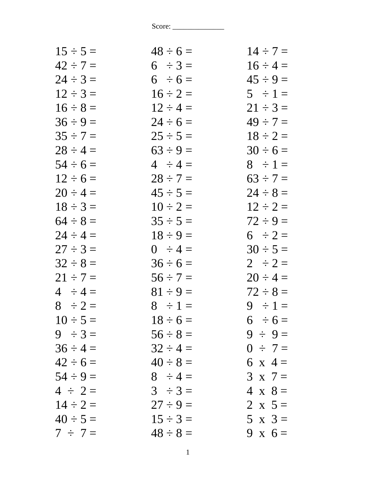| $15 \div 5 =$ | $48 \div 6 =$ | $14 \div 7 =$  |
|---------------|---------------|----------------|
| $42 \div 7 =$ | $6 \div 3 =$  | $16 \div 4 =$  |
| $24 \div 3 =$ | $6 \div 6 =$  | $45 \div 9 =$  |
| $12 \div 3 =$ | $16 \div 2 =$ | $5 \div 1 =$   |
| $16 \div 8 =$ | $12 \div 4 =$ | $21 \div 3 =$  |
| $36 \div 9 =$ | $24 \div 6 =$ | $49 \div 7 =$  |
| $35 \div 7 =$ | $25 \div 5 =$ | $18 \div 2 =$  |
| $28 \div 4 =$ | $63 \div 9 =$ | $30 \div 6 =$  |
| $54 \div 6 =$ | $4 \div 4 =$  | $8 \div 1 =$   |
| $12 \div 6 =$ | $28 \div 7 =$ | $63 \div 7 =$  |
| $20 \div 4 =$ | $45 \div 5 =$ | $24 \div 8 =$  |
| $18 \div 3 =$ | $10 \div 2 =$ | $12 \div 2 =$  |
| $64 \div 8 =$ | $35 \div 5 =$ | $72 \div 9 =$  |
| $24 \div 4 =$ | $18 \div 9 =$ | $6 \div 2 =$   |
| $27 \div 3 =$ | $0 \div 4 =$  | $30 \div 5 =$  |
| $32 \div 8 =$ | $36 \div 6 =$ | $2 \div 2 =$   |
| $21 \div 7 =$ | $56 \div 7 =$ | $20 \div 4 =$  |
| $4 \div 4 =$  | $81 \div 9 =$ | $72 \div 8 =$  |
| $8 \div 2 =$  | $8 \div 1 =$  | $9 \div 1 =$   |
| $10 \div 5 =$ | $18 \div 6 =$ | $6 \div 6 =$   |
| $9 \div 3 =$  | $56 \div 8 =$ | $9 \div 9 =$   |
| $36 \div 4 =$ | $32 \div 4 =$ | $0 \div 7 =$   |
| $42 \div 6 =$ | $40 \div 8 =$ | 6 x 4 =        |
| $54 \div 9 =$ | $8 \div 4 =$  | $3 \times 7 =$ |
| $4 \div 2 =$  | $3 \div 3 =$  | $4 \times 8 =$ |
| $14 \div 2 =$ | $27 \div 9 =$ | 2 x $5 =$      |
| $40 \div 5 =$ | $15 \div 3 =$ | $5 \times 3 =$ |
| $7 \div 7 =$  | $48 \div 8 =$ | 9 x $6=$       |
|               |               |                |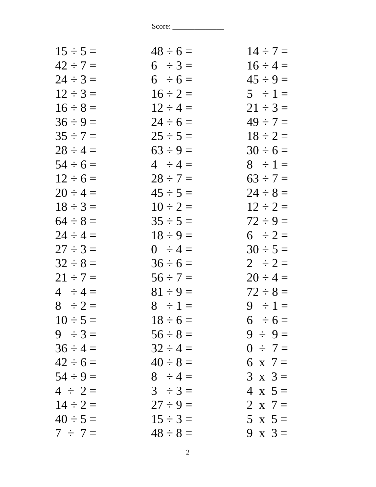| $48 \div 6 =$ | $14 \div 7 =$  |
|---------------|----------------|
| $6 \div 3 =$  | $16 \div 4 =$  |
| $6 \div 6 =$  | $45 \div 9 =$  |
| $16 \div 2 =$ | $5 \div 1 =$   |
| $12 \div 4 =$ | $21 \div 3 =$  |
| $24 \div 6 =$ | $49 \div 7 =$  |
| $25 \div 5 =$ | $18 \div 2 =$  |
| $63 \div 9 =$ | $30 \div 6 =$  |
| $4 \div 4 =$  | $8 \div 1 =$   |
| $28 \div 7 =$ | $63 \div 7 =$  |
| $45 \div 5 =$ | $24 \div 8 =$  |
| $10 \div 2 =$ | $12 \div 2 =$  |
| $35 \div 5 =$ | $72 \div 9 =$  |
| $18 \div 9 =$ | $6 \div 2 =$   |
| $0 \div 4 =$  | $30 \div 5 =$  |
| $36 \div 6 =$ | $2 \div 2 =$   |
| $56 \div 7 =$ | $20 \div 4 =$  |
| $81 \div 9 =$ | $72 \div 8 =$  |
| $8 \div 1 =$  | $9 \div 1 =$   |
| $18 \div 6 =$ | $6 \div 6 =$   |
| $56 \div 8 =$ | $9 \div 9 =$   |
| $32 \div 4 =$ | $0 \div 7 =$   |
| $40 \div 8 =$ | 6 x 7 =        |
| $8 \div 4 =$  | $3 \times 3 =$ |
| $3 \div 3 =$  | $4 \times 5=$  |
| $27 \div 9 =$ | 2 x $7 =$      |
| $15 \div 3 =$ | $5 \times 5 =$ |
| $48 \div 8 =$ | 9 x $3 =$      |
|               |                |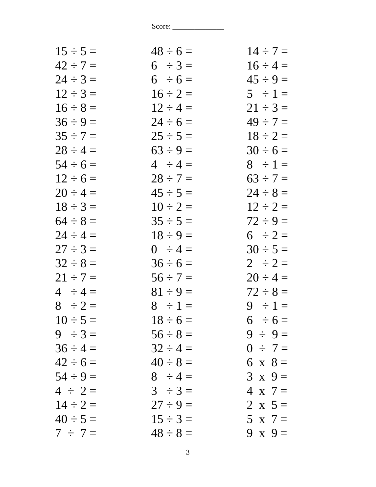| $15 \div 5 =$ | $48 \div 6 =$ | $14 \div 7 =$  |
|---------------|---------------|----------------|
| $42 \div 7 =$ | $6 \div 3 =$  | $16 \div 4 =$  |
| $24 \div 3 =$ | $6 \div 6 =$  | $45 \div 9 =$  |
| $12 \div 3 =$ | $16 \div 2 =$ | $5 \div 1 =$   |
| $16 \div 8 =$ | $12 \div 4 =$ | $21 \div 3 =$  |
| $36 \div 9 =$ | $24 \div 6 =$ | $49 \div 7 =$  |
| $35 \div 7 =$ | $25 \div 5 =$ | $18 \div 2 =$  |
| $28 \div 4 =$ | $63 \div 9 =$ | $30 \div 6 =$  |
| $54 \div 6 =$ | $4 \div 4 =$  | $8 \div 1 =$   |
| $12 \div 6 =$ | $28 \div 7 =$ | $63 \div 7 =$  |
| $20 \div 4 =$ | $45 \div 5 =$ | $24 \div 8 =$  |
| $18 \div 3 =$ | $10 \div 2 =$ | $12 \div 2 =$  |
| $64 \div 8 =$ | $35 \div 5 =$ | $72 \div 9 =$  |
| $24 \div 4 =$ | $18 \div 9 =$ | $6 \div 2 =$   |
| $27 \div 3 =$ | $0 \div 4 =$  | $30 \div 5 =$  |
| $32 \div 8 =$ | $36 \div 6 =$ | $2 \div 2 =$   |
| $21 \div 7 =$ | $56 \div 7 =$ | $20 \div 4 =$  |
| $4 \div 4 =$  | $81 \div 9 =$ | $72 \div 8 =$  |
| $8 \div 2 =$  | $8 \div 1 =$  | $9 \div 1 =$   |
| $10 \div 5 =$ | $18 \div 6 =$ | $6 \div 6 =$   |
| $9 \div 3 =$  | $56 \div 8 =$ | $9 \div 9 =$   |
| $36 \div 4 =$ | $32 \div 4 =$ | $0 \div 7 =$   |
| $42 \div 6 =$ | $40 \div 8 =$ | 6 x $8 =$      |
| $54 \div 9 =$ | $8 \div 4 =$  | $3 \times 9 =$ |
| $4 \div 2 =$  | $3 \div 3 =$  | $4 \times 7 =$ |
| $14 \div 2 =$ | $27 \div 9 =$ | 2 x $5 =$      |
| $40 \div 5 =$ | $15 \div 3 =$ | $5 \times 7 =$ |
| $7 \div 7 =$  | $48 \div 8 =$ | $9 \times 9 =$ |
|               |               |                |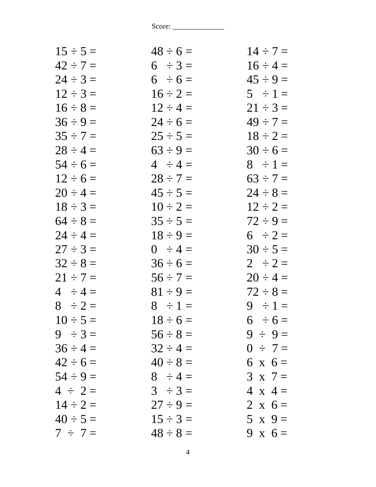| $15 \div 5 =$ | $48 \div 6 =$ | $14 \div 7 =$  |
|---------------|---------------|----------------|
| $42 \div 7 =$ | $6 \div 3 =$  | $16 \div 4 =$  |
| $24 \div 3 =$ | $6 \div 6 =$  | $45 \div 9 =$  |
| $12 \div 3 =$ | $16 \div 2 =$ | $5 \div 1 =$   |
| $16 \div 8 =$ | $12 \div 4 =$ | $21 \div 3 =$  |
| $36 \div 9 =$ | $24 \div 6 =$ | $49 \div 7 =$  |
| $35 \div 7 =$ | $25 \div 5 =$ | $18 \div 2 =$  |
| $28 \div 4 =$ | $63 \div 9 =$ | $30 \div 6 =$  |
| $54 \div 6 =$ | $4 \div 4 =$  | $8 \div 1 =$   |
| $12 \div 6 =$ | $28 \div 7 =$ | $63 \div 7 =$  |
| $20 \div 4 =$ | $45 \div 5 =$ | $24 \div 8 =$  |
| $18 \div 3 =$ | $10 \div 2 =$ | $12 \div 2 =$  |
| $64 \div 8 =$ | $35 \div 5 =$ | $72 \div 9 =$  |
| $24 \div 4 =$ | $18 \div 9 =$ | $6 \div 2 =$   |
| $27 \div 3 =$ | $0 \div 4 =$  | $30 \div 5 =$  |
| $32 \div 8 =$ | $36 \div 6 =$ | $2 \div 2 =$   |
| $21 \div 7 =$ | $56 \div 7 =$ | $20 \div 4 =$  |
| $4 \div 4 =$  | $81 \div 9 =$ | $72 \div 8 =$  |
| $8 \div 2 =$  | $8 \div 1 =$  | $9 \div 1 =$   |
| $10 \div 5 =$ | $18 \div 6 =$ | $6 \div 6 =$   |
| $9 \div 3 =$  | $56 \div 8 =$ | $9 \div 9 =$   |
| $36 \div 4 =$ | $32 \div 4 =$ | $0 \div 7 =$   |
| $42 \div 6 =$ | $40 \div 8 =$ | $6 \times 6 =$ |
| $54 \div 9 =$ | $8 \div 4 =$  | $3 \times 7 =$ |
| $4 \div 2 =$  | $3 \div 3 =$  | $4 \times 4 =$ |
| $14 \div 2 =$ | $27 \div 9 =$ | 2 x $6 =$      |
| $40 \div 5 =$ | $15 \div 3 =$ | $5 \times 9=$  |
| $7 \div 7 =$  | $48 \div 8 =$ | 9 x $6 =$      |
|               |               |                |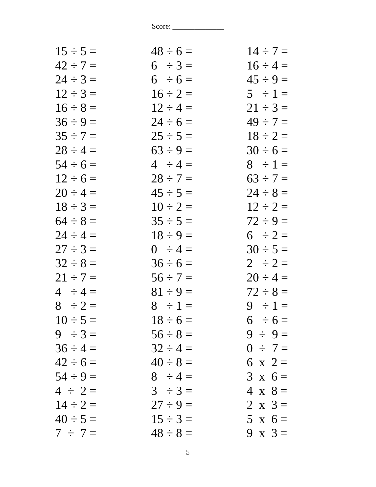| $48 \div 6 =$ | $14 \div 7 =$  |
|---------------|----------------|
| $6 \div 3 =$  | $16 \div 4 =$  |
| $6 \div 6 =$  | $45 \div 9 =$  |
| $16 \div 2 =$ | $5 \div 1 =$   |
| $12 \div 4 =$ | $21 \div 3 =$  |
| $24 \div 6 =$ | $49 \div 7 =$  |
| $25 \div 5 =$ | $18 \div 2 =$  |
| $63 \div 9 =$ | $30 \div 6 =$  |
| $4 \div 4 =$  | $8 \div 1 =$   |
| $28 \div 7 =$ | $63 \div 7 =$  |
| $45 \div 5 =$ | $24 \div 8 =$  |
| $10 \div 2 =$ | $12 \div 2 =$  |
| $35 \div 5 =$ | $72 \div 9 =$  |
| $18 \div 9 =$ | $6 \div 2 =$   |
| $0 \div 4 =$  | $30 \div 5 =$  |
| $36 \div 6 =$ | $2 \div 2 =$   |
| $56 \div 7 =$ | $20 \div 4 =$  |
| $81 \div 9 =$ | $72 \div 8 =$  |
| $8 \div 1 =$  | $9 \div 1 =$   |
| $18 \div 6 =$ | $6 \div 6 =$   |
| $56 \div 8 =$ | $9 \div 9 =$   |
| $32 \div 4 =$ | $0 \div 7 =$   |
| $40 \div 8 =$ | 6 x 2 =        |
| $8 \div 4 =$  | $3 \times 6 =$ |
| $3 \div 3 =$  | $4 \times 8 =$ |
| $27 \div 9 =$ | 2 x $3 =$      |
| $15 \div 3 =$ | $5 \times 6 =$ |
| $48 \div 8 =$ | 9 x $3=$       |
|               |                |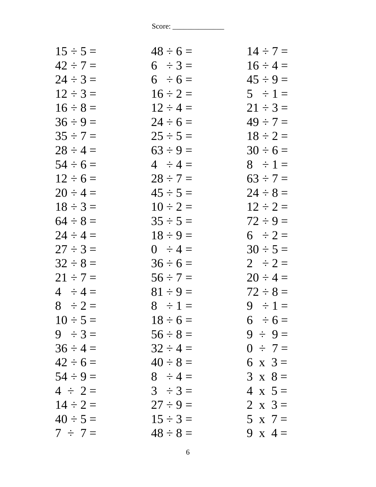| $15 \div 5 =$ | $48 \div 6 =$ | $14 \div 7 =$  |
|---------------|---------------|----------------|
| $42 \div 7 =$ | $6 \div 3 =$  | $16 \div 4 =$  |
| $24 \div 3 =$ | $6 \div 6 =$  | $45 \div 9 =$  |
| $12 \div 3 =$ | $16 \div 2 =$ | $5 \div 1 =$   |
| $16 \div 8 =$ | $12 \div 4 =$ | $21 \div 3 =$  |
| $36 \div 9 =$ | $24 \div 6 =$ | $49 \div 7 =$  |
| $35 \div 7 =$ | $25 \div 5 =$ | $18 \div 2 =$  |
| $28 \div 4 =$ | $63 \div 9 =$ | $30 \div 6 =$  |
| $54 \div 6 =$ | $4 \div 4 =$  | $8 \div 1 =$   |
| $12 \div 6 =$ | $28 \div 7 =$ | $63 \div 7 =$  |
| $20 \div 4 =$ | $45 \div 5 =$ | $24 \div 8 =$  |
| $18 \div 3 =$ | $10 \div 2 =$ | $12 \div 2 =$  |
| $64 \div 8 =$ | $35 \div 5 =$ | $72 \div 9 =$  |
| $24 \div 4 =$ | $18 \div 9 =$ | $6 \div 2 =$   |
| $27 \div 3 =$ | $0 \div 4 =$  | $30 \div 5 =$  |
| $32 \div 8 =$ | $36 \div 6 =$ | $2 \div 2 =$   |
| $21 \div 7 =$ | $56 \div 7 =$ | $20 \div 4 =$  |
| $4 \div 4 =$  | $81 \div 9 =$ | $72 \div 8 =$  |
| $8 \div 2 =$  | $8 \div 1 =$  | $9 \div 1 =$   |
| $10 \div 5 =$ | $18 \div 6 =$ | $6 \div 6 =$   |
| $9 \div 3 =$  | $56 \div 8 =$ | $9 \div 9 =$   |
| $36 \div 4 =$ | $32 \div 4 =$ | $0 \div 7 =$   |
| $42 \div 6 =$ | $40 \div 8 =$ | 6 x $3 =$      |
| $54 \div 9 =$ | $8 \div 4 =$  | $3 \times 8 =$ |
| $4 \div 2 =$  | $3 \div 3 =$  | $4 \times 5=$  |
| $14 \div 2 =$ | $27 \div 9 =$ | 2 x $3=$       |
| $40 \div 5 =$ | $15 \div 3 =$ | $5 \times 7 =$ |
| $7 \div 7 =$  | $48 \div 8 =$ | 9 x 4 =        |
|               |               |                |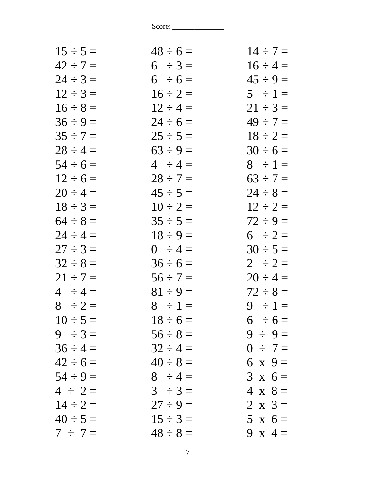| $15 \div 5 =$ | $48 \div 6 =$ | $14 \div 7 =$  |
|---------------|---------------|----------------|
| $42 \div 7 =$ | $6 \div 3 =$  | $16 \div 4 =$  |
| $24 \div 3 =$ | $6 \div 6 =$  | $45 \div 9 =$  |
| $12 \div 3 =$ | $16 \div 2 =$ | $5 \div 1 =$   |
| $16 \div 8 =$ | $12 \div 4 =$ | $21 \div 3 =$  |
| $36 \div 9 =$ | $24 \div 6 =$ | $49 \div 7 =$  |
| $35 \div 7 =$ | $25 \div 5 =$ | $18 \div 2 =$  |
| $28 \div 4 =$ | $63 \div 9 =$ | $30 \div 6 =$  |
| $54 \div 6 =$ | $4 \div 4 =$  | $8 \div 1 =$   |
| $12 \div 6 =$ | $28 \div 7 =$ | $63 \div 7 =$  |
| $20 \div 4 =$ | $45 \div 5 =$ | $24 \div 8 =$  |
| $18 \div 3 =$ | $10 \div 2 =$ | $12 \div 2 =$  |
| $64 \div 8 =$ | $35 \div 5 =$ | $72 \div 9 =$  |
| $24 \div 4 =$ | $18 \div 9 =$ | $6 \div 2 =$   |
| $27 \div 3 =$ | $0 \div 4 =$  | $30 \div 5 =$  |
| $32 \div 8 =$ | $36 \div 6 =$ | $2 \div 2 =$   |
| $21 \div 7 =$ | $56 \div 7 =$ | $20 \div 4 =$  |
| $4 \div 4 =$  | $81 \div 9 =$ | $72 \div 8 =$  |
| $8 \div 2 =$  | $8 \div 1 =$  | $9 \div 1 =$   |
| $10 \div 5 =$ | $18 \div 6 =$ | $6 \div 6 =$   |
| $9 \div 3 =$  | $56 \div 8 =$ | $9 \div 9 =$   |
| $36 \div 4 =$ | $32 \div 4 =$ | $0 \div 7 =$   |
| $42 \div 6 =$ | $40 \div 8 =$ | $6 \times 9=$  |
| $54 \div 9 =$ | $8 \div 4 =$  | $3 \times 6 =$ |
| $4 \div 2 =$  | $3 \div 3 =$  | $4 \times 8 =$ |
| $14 \div 2 =$ | $27 \div 9 =$ | 2 x $3=$       |
| $40 \div 5 =$ | $15 \div 3 =$ | $5 \times 6 =$ |
| $7 \div 7 =$  | $48 \div 8 =$ | 9 x 4 =        |
|               |               |                |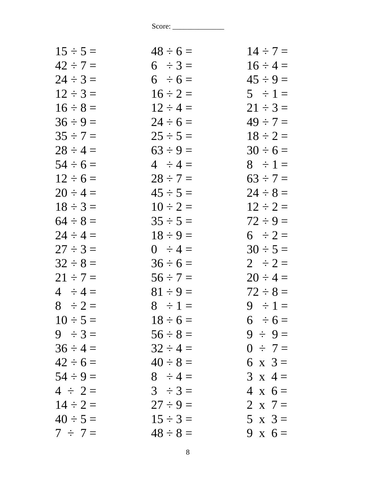| $15 \div 5 =$ | $48 \div 6 =$ | $14 \div 7 =$  |
|---------------|---------------|----------------|
| $42 \div 7 =$ | $6 \div 3 =$  | $16 \div 4 =$  |
| $24 \div 3 =$ | $6 \div 6 =$  | $45 \div 9 =$  |
| $12 \div 3 =$ | $16 \div 2 =$ | $5 \div 1 =$   |
| $16 \div 8 =$ | $12 \div 4 =$ | $21 \div 3 =$  |
| $36 \div 9 =$ | $24 \div 6 =$ | $49 \div 7 =$  |
| $35 \div 7 =$ | $25 \div 5 =$ | $18 \div 2 =$  |
| $28 \div 4 =$ | $63 \div 9 =$ | $30 \div 6 =$  |
| $54 \div 6 =$ | $4 \div 4 =$  | $8 \div 1 =$   |
| $12 \div 6 =$ | $28 \div 7 =$ | $63 \div 7 =$  |
| $20 \div 4 =$ | $45 \div 5 =$ | $24 \div 8 =$  |
| $18 \div 3 =$ | $10 \div 2 =$ | $12 \div 2 =$  |
| $64 \div 8 =$ | $35 \div 5 =$ | $72 \div 9 =$  |
| $24 \div 4 =$ | $18 \div 9 =$ | $6 \div 2 =$   |
| $27 \div 3 =$ | $0 \div 4 =$  | $30 \div 5 =$  |
| $32 \div 8 =$ | $36 \div 6 =$ | $2 \div 2 =$   |
| $21 \div 7 =$ | $56 \div 7 =$ | $20 \div 4 =$  |
| $4 \div 4 =$  | $81 \div 9 =$ | $72 \div 8 =$  |
| $8 \div 2 =$  | $8 \div 1 =$  | $9 \div 1 =$   |
| $10 \div 5 =$ | $18 \div 6 =$ | $6 \div 6 =$   |
| $9 \div 3 =$  | $56 \div 8 =$ | $9 \div 9 =$   |
| $36 \div 4 =$ | $32 \div 4 =$ | $0 \div 7 =$   |
| $42 \div 6 =$ | $40 \div 8 =$ | 6 x $3 =$      |
| $54 \div 9 =$ | $8 \div 4 =$  | $3 \times 4 =$ |
| $4 \div 2 =$  | $3 \div 3 =$  | $4 \times 6 =$ |
| $14 \div 2 =$ | $27 \div 9 =$ | 2 x $7 =$      |
| $40 \div 5 =$ | $15 \div 3 =$ | $5 \times 3=$  |
| $7 \div 7 =$  | $48 \div 8 =$ | 9 x $6=$       |
|               |               |                |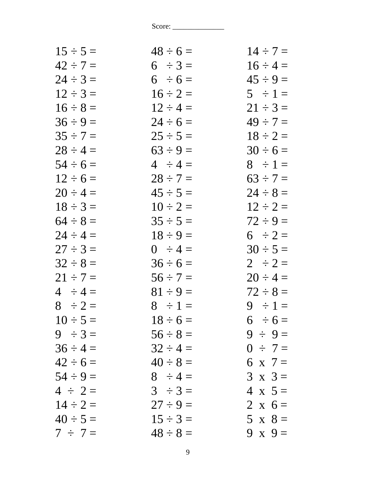| $15 \div 5 =$ | $48 \div 6 =$ | $14 \div 7 =$  |
|---------------|---------------|----------------|
| $42 \div 7 =$ | $6 \div 3 =$  | $16 \div 4 =$  |
| $24 \div 3 =$ | $6 \div 6 =$  | $45 \div 9 =$  |
| $12 \div 3 =$ | $16 \div 2 =$ | $5 \div 1 =$   |
| $16 \div 8 =$ | $12 \div 4 =$ | $21 \div 3 =$  |
| $36 \div 9 =$ | $24 \div 6 =$ | $49 \div 7 =$  |
| $35 \div 7 =$ | $25 \div 5 =$ | $18 \div 2 =$  |
| $28 \div 4 =$ | $63 \div 9 =$ | $30 \div 6 =$  |
| $54 \div 6 =$ | $4 \div 4 =$  | $8 \div 1 =$   |
| $12 \div 6 =$ | $28 \div 7 =$ | $63 \div 7 =$  |
| $20 \div 4 =$ | $45 \div 5 =$ | $24 \div 8 =$  |
| $18 \div 3 =$ | $10 \div 2 =$ | $12 \div 2 =$  |
| $64 \div 8 =$ | $35 \div 5 =$ | $72 \div 9 =$  |
| $24 \div 4 =$ | $18 \div 9 =$ | $6 \div 2 =$   |
| $27 \div 3 =$ | $0 \div 4 =$  | $30 \div 5 =$  |
| $32 \div 8 =$ | $36 \div 6 =$ | $2 \div 2 =$   |
| $21 \div 7 =$ | $56 \div 7 =$ | $20 \div 4 =$  |
| $4 \div 4 =$  | $81 \div 9 =$ | $72 \div 8 =$  |
| $8 \div 2 =$  | $8 \div 1 =$  | $9 \div 1 =$   |
| $10 \div 5 =$ | $18 \div 6 =$ | $6 \div 6 =$   |
| $9 \div 3 =$  | $56 \div 8 =$ | $9 \div 9 =$   |
| $36 \div 4 =$ | $32 \div 4 =$ | $0 \div 7 =$   |
| $42 \div 6 =$ | $40 \div 8 =$ | 6 x 7 =        |
| $54 \div 9 =$ | $8 \div 4 =$  | $3 \times 3 =$ |
| $4 \div 2 =$  | $3 \div 3 =$  | $4 \times 5=$  |
| $14 \div 2 =$ | $27 \div 9 =$ | 2 x $6 =$      |
| $40 \div 5 =$ | $15 \div 3 =$ | $5 \times 8 =$ |
| $7 \div 7 =$  | $48 \div 8 =$ | 9 x $9=$       |
|               |               |                |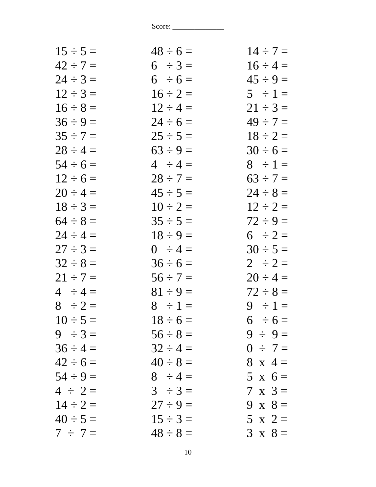| $15 \div 5 =$ | $48 \div 6 =$ | $14 \div 7 =$  |
|---------------|---------------|----------------|
| $42 \div 7 =$ | $6 \div 3 =$  | $16 \div 4 =$  |
| $24 \div 3 =$ | $6 \div 6 =$  | $45 \div 9 =$  |
| $12 \div 3 =$ | $16 \div 2 =$ | $5 \div 1 =$   |
| $16 \div 8 =$ | $12 \div 4 =$ | $21 \div 3 =$  |
| $36 \div 9 =$ | $24 \div 6 =$ | $49 \div 7 =$  |
| $35 \div 7 =$ | $25 \div 5 =$ | $18 \div 2 =$  |
| $28 \div 4 =$ | $63 \div 9 =$ | $30 \div 6 =$  |
| $54 \div 6 =$ | $4 \div 4 =$  | $8 \div 1 =$   |
| $12 \div 6 =$ | $28 \div 7 =$ | $63 \div 7 =$  |
| $20 \div 4 =$ | $45 \div 5 =$ | $24 \div 8 =$  |
| $18 \div 3 =$ | $10 \div 2 =$ | $12 \div 2 =$  |
| $64 \div 8 =$ | $35 \div 5 =$ | $72 \div 9 =$  |
| $24 \div 4 =$ | $18 \div 9 =$ | $6 \div 2 =$   |
| $27 \div 3 =$ | $0 \div 4 =$  | $30 \div 5 =$  |
| $32 \div 8 =$ | $36 \div 6 =$ | $2 \div 2 =$   |
| $21 \div 7 =$ | $56 \div 7 =$ | $20 \div 4 =$  |
| $4 \div 4 =$  | $81 \div 9 =$ | $72 \div 8 =$  |
| $8 \div 2 =$  | $8 \div 1 =$  | $9 \div 1 =$   |
| $10 \div 5 =$ | $18 \div 6 =$ | $6 \div 6 =$   |
| $9 \div 3 =$  | $56 \div 8 =$ | $9 \div 9 =$   |
| $36 \div 4 =$ | $32 \div 4 =$ | $0 \div 7 =$   |
| $42 \div 6 =$ | $40 \div 8 =$ | $8 \times 4 =$ |
| $54 \div 9 =$ | $8 \div 4 =$  | $5 x 6 =$      |
| $4 \div 2 =$  | $3 \div 3 =$  | $7 \times 3 =$ |
| $14 \div 2 =$ | $27 \div 9 =$ | 9 x $8=$       |
| $40 \div 5 =$ | $15 \div 3 =$ | $5 \times 2 =$ |
| $7 \div 7 =$  | $48 \div 8 =$ | $3 \times 8 =$ |
|               |               |                |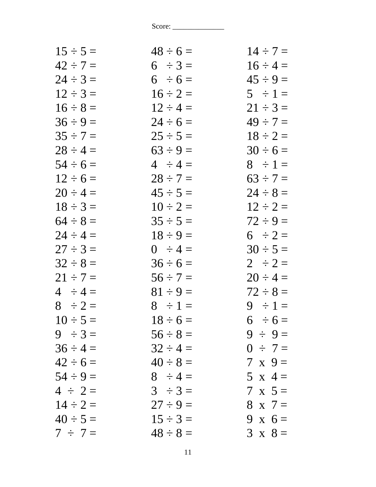| $48 \div 6 =$ | $14 \div 7 =$  |
|---------------|----------------|
| $6 \div 3 =$  | $16 \div 4 =$  |
| $6 \div 6 =$  | $45 \div 9 =$  |
| $16 \div 2 =$ | $5 \div 1 =$   |
| $12 \div 4 =$ | $21 \div 3 =$  |
| $24 \div 6 =$ | $49 \div 7 =$  |
| $25 \div 5 =$ | $18 \div 2 =$  |
| $63 \div 9 =$ | $30 \div 6 =$  |
| $4 \div 4 =$  | $8 \div 1 =$   |
| $28 \div 7 =$ | $63 \div 7 =$  |
| $45 \div 5 =$ | $24 \div 8 =$  |
| $10 \div 2 =$ | $12 \div 2 =$  |
| $35 \div 5 =$ | $72 \div 9 =$  |
| $18 \div 9 =$ | $6 \div 2 =$   |
| $0 \div 4 =$  | $30 \div 5 =$  |
| $36 \div 6 =$ | $2 \div 2 =$   |
| $56 \div 7 =$ | $20 \div 4 =$  |
| $81 \div 9 =$ | $72 \div 8 =$  |
| $8 \div 1 =$  | $9 \div 1 =$   |
| $18 \div 6 =$ | $6 \div 6 =$   |
| $56 \div 8 =$ | $9 \div 9 =$   |
| $32 \div 4 =$ | $0 \div 7 =$   |
| $40 \div 8 =$ | $7 \times 9 =$ |
| $8 \div 4 =$  | $5 \times 4 =$ |
| $3 \div 3 =$  | $7 \times 5 =$ |
| $27 \div 9 =$ | $8 \times 7 =$ |
| $15 \div 3 =$ | 9 x $6 =$      |
| $48 \div 8 =$ | $3 \times 8 =$ |
|               |                |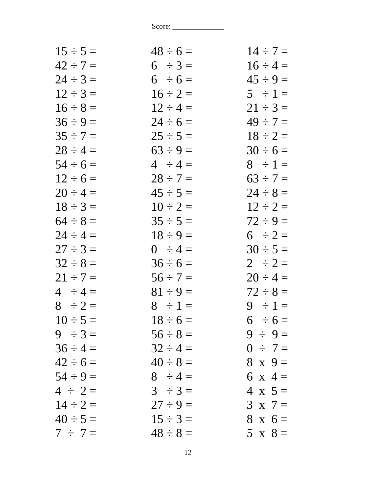| $15 \div 5 =$ | $48 \div 6 =$ | $14 \div 7 =$  |
|---------------|---------------|----------------|
| $42 \div 7 =$ | $6 \div 3 =$  | $16 \div 4 =$  |
| $24 \div 3 =$ | $6 \div 6 =$  | $45 \div 9 =$  |
| $12 \div 3 =$ | $16 \div 2 =$ | $5 \div 1 =$   |
| $16 \div 8 =$ | $12 \div 4 =$ | $21 \div 3 =$  |
| $36 \div 9 =$ | $24 \div 6 =$ | $49 \div 7 =$  |
| $35 \div 7 =$ | $25 \div 5 =$ | $18 \div 2 =$  |
| $28 \div 4 =$ | $63 \div 9 =$ | $30 \div 6 =$  |
| $54 \div 6 =$ | $4 \div 4 =$  | $8 \div 1 =$   |
| $12 \div 6 =$ | $28 \div 7 =$ | $63 \div 7 =$  |
| $20 \div 4 =$ | $45 \div 5 =$ | $24 \div 8 =$  |
| $18 \div 3 =$ | $10 \div 2 =$ | $12 \div 2 =$  |
| $64 \div 8 =$ | $35 \div 5 =$ | $72 \div 9 =$  |
| $24 \div 4 =$ | $18 \div 9 =$ | $6 \div 2 =$   |
| $27 \div 3 =$ | $0 \div 4 =$  | $30 \div 5 =$  |
| $32 \div 8 =$ | $36 \div 6 =$ | $2 \div 2 =$   |
| $21 \div 7 =$ | $56 \div 7 =$ | $20 \div 4 =$  |
| $4 \div 4 =$  | $81 \div 9 =$ | $72 \div 8 =$  |
| $8 \div 2 =$  | $8 \div 1 =$  | $9 \div 1 =$   |
| $10 \div 5 =$ | $18 \div 6 =$ | $6 \div 6 =$   |
| $9 \div 3 =$  | $56 \div 8 =$ | $9 \div 9 =$   |
| $36 \div 4 =$ | $32 \div 4 =$ | $0 \div 7 =$   |
| $42 \div 6 =$ | $40 \div 8 =$ | $8 \times 9 =$ |
| $54 \div 9 =$ | $8 \div 4 =$  | 6 x 4 =        |
| $4 \div 2 =$  | $3 \div 3 =$  | $4 \times 5 =$ |
| $14 \div 2 =$ | $27 \div 9 =$ | $3 \times 7 =$ |
| $40 \div 5 =$ | $15 \div 3 =$ | $8 \times 6 =$ |
| $7 \div 7 =$  | $48 \div 8 =$ | $5 \times 8 =$ |
|               |               |                |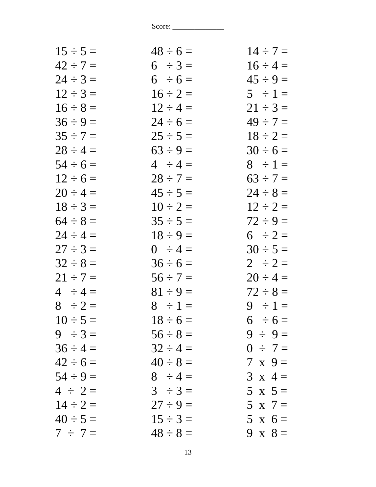| $48 \div 6 =$ | $14 \div 7 =$  |
|---------------|----------------|
| $6 \div 3 =$  | $16 \div 4 =$  |
| $6 \div 6 =$  | $45 \div 9 =$  |
| $16 \div 2 =$ | $5 \div 1 =$   |
| $12 \div 4 =$ | $21 \div 3 =$  |
| $24 \div 6 =$ | $49 \div 7 =$  |
| $25 \div 5 =$ | $18 \div 2 =$  |
| $63 \div 9 =$ | $30 \div 6 =$  |
| $4 \div 4 =$  | $8 \div 1 =$   |
| $28 \div 7 =$ | $63 \div 7 =$  |
| $45 \div 5 =$ | $24 \div 8 =$  |
| $10 \div 2 =$ | $12 \div 2 =$  |
| $35 \div 5 =$ | $72 \div 9 =$  |
| $18 \div 9 =$ | $6 \div 2 =$   |
| $0 \div 4 =$  | $30 \div 5 =$  |
| $36 \div 6 =$ | $2 \div 2 =$   |
| $56 \div 7 =$ | $20 \div 4 =$  |
| $81 \div 9 =$ | $72 \div 8 =$  |
| $8 \div 1 =$  | $9 \div 1 =$   |
| $18 \div 6 =$ | $6 \div 6 =$   |
| $56 \div 8 =$ | $9 \div 9 =$   |
| $32 \div 4 =$ | $0 \div 7 =$   |
| $40 \div 8 =$ | $7 \times 9 =$ |
| $8 \div 4 =$  | $3 \times 4 =$ |
| $3 \div 3 =$  | $5 \times 5 =$ |
| $27 \div 9 =$ | $5 \times 7 =$ |
| $15 \div 3 =$ | $5 \times 6 =$ |
| $48 \div 8 =$ | 9 x $8=$       |
|               |                |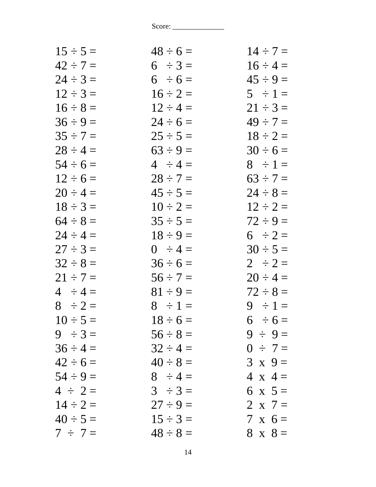| $15 \div 5 =$ | $48 \div 6 =$ | $14 \div 7 =$  |
|---------------|---------------|----------------|
| $42 \div 7 =$ | $6 \div 3 =$  | $16 \div 4 =$  |
| $24 \div 3 =$ | $6 \div 6 =$  | $45 \div 9 =$  |
| $12 \div 3 =$ | $16 \div 2 =$ | $5 \div 1 =$   |
| $16 \div 8 =$ | $12 \div 4 =$ | $21 \div 3 =$  |
| $36 \div 9 =$ | $24 \div 6 =$ | $49 \div 7 =$  |
| $35 \div 7 =$ | $25 \div 5 =$ | $18 \div 2 =$  |
| $28 \div 4 =$ | $63 \div 9 =$ | $30 \div 6 =$  |
| $54 \div 6 =$ | $4 \div 4 =$  | $8 \div 1 =$   |
| $12 \div 6 =$ | $28 \div 7 =$ | $63 \div 7 =$  |
| $20 \div 4 =$ | $45 \div 5 =$ | $24 \div 8 =$  |
| $18 \div 3 =$ | $10 \div 2 =$ | $12 \div 2 =$  |
| $64 \div 8 =$ | $35 \div 5 =$ | $72 \div 9 =$  |
| $24 \div 4 =$ | $18 \div 9 =$ | $6 \div 2 =$   |
| $27 \div 3 =$ | $0 \div 4 =$  | $30 \div 5 =$  |
| $32 \div 8 =$ | $36 \div 6 =$ | $2 \div 2 =$   |
| $21 \div 7 =$ | $56 \div 7 =$ | $20 \div 4 =$  |
| $4 \div 4 =$  | $81 \div 9 =$ | $72 \div 8 =$  |
| $8 \div 2 =$  | $8 \div 1 =$  | $9 \div 1 =$   |
| $10 \div 5 =$ | $18 \div 6 =$ | $6 \div 6 =$   |
| $9 \div 3 =$  | $56 \div 8 =$ | $9 \div 9 =$   |
| $36 \div 4 =$ | $32 \div 4 =$ | $0 \div 7 =$   |
| $42 \div 6 =$ | $40 \div 8 =$ | $3 \times 9 =$ |
| $54 \div 9 =$ | $8 \div 4 =$  | $4 \times 4 =$ |
| $4 \div 2 =$  | $3 \div 3 =$  | 6 x $5 =$      |
| $14 \div 2 =$ | $27 \div 9 =$ | 2 x $7 =$      |
| $40 \div 5 =$ | $15 \div 3 =$ | $7 \times 6 =$ |
| $7 \div 7 =$  | $48 \div 8 =$ | $8 \times 8 =$ |
|               |               |                |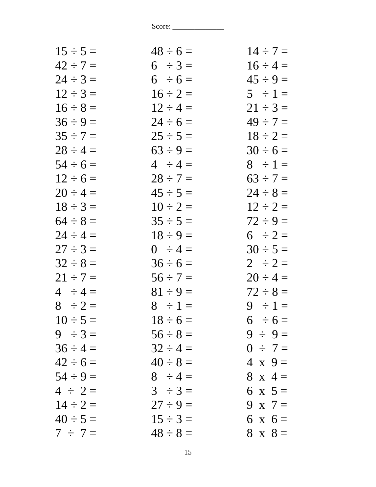| $48 \div 6 =$ | $14 \div 7 =$  |
|---------------|----------------|
| $6 \div 3 =$  | $16 \div 4 =$  |
| $6 \div 6 =$  | $45 \div 9 =$  |
| $16 \div 2 =$ | $5 \div 1 =$   |
| $12 \div 4 =$ | $21 \div 3 =$  |
| $24 \div 6 =$ | $49 \div 7 =$  |
| $25 \div 5 =$ | $18 \div 2 =$  |
| $63 \div 9 =$ | $30 \div 6 =$  |
| $4 \div 4 =$  | $8 \div 1 =$   |
| $28 \div 7 =$ | $63 \div 7 =$  |
| $45 \div 5 =$ | $24 \div 8 =$  |
| $10 \div 2 =$ | $12 \div 2 =$  |
| $35 \div 5 =$ | $72 \div 9 =$  |
| $18 \div 9 =$ | $6 \div 2 =$   |
| $0 \div 4 =$  | $30 \div 5 =$  |
| $36 \div 6 =$ | $2 \div 2 =$   |
| $56 \div 7 =$ | $20 \div 4 =$  |
| $81 \div 9 =$ | $72 \div 8 =$  |
| $8 \div 1 =$  | $9 \div 1 =$   |
| $18 \div 6 =$ | $6 \div 6 =$   |
| $56 \div 8 =$ | $9 \div 9 =$   |
| $32 \div 4 =$ | $0 \div 7 =$   |
| $40 \div 8 =$ | $4 \times 9 =$ |
| $8 \div 4 =$  | $8 \times 4 =$ |
| $3 \div 3 =$  | 6 x $5 =$      |
| $27 \div 9 =$ | 9 x $7=$       |
| $15 \div 3 =$ | $6 \times 6 =$ |
| $48 \div 8 =$ | $8 \times 8 =$ |
|               |                |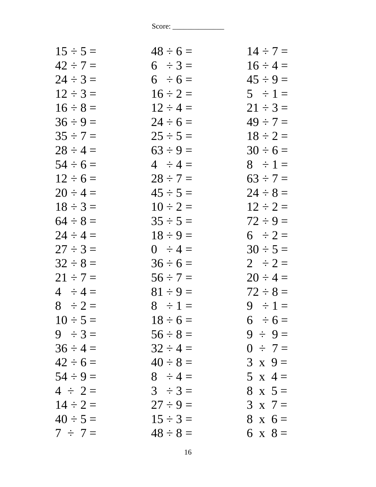| $15 \div 5 =$ | $48 \div 6 =$ | $14 \div 7 =$  |
|---------------|---------------|----------------|
| $42 \div 7 =$ | $6 \div 3 =$  | $16 \div 4 =$  |
| $24 \div 3 =$ | $6 \div 6 =$  | $45 \div 9 =$  |
| $12 \div 3 =$ | $16 \div 2 =$ | $5 \div 1 =$   |
| $16 \div 8 =$ | $12 \div 4 =$ | $21 \div 3 =$  |
| $36 \div 9 =$ | $24 \div 6 =$ | $49 \div 7 =$  |
| $35 \div 7 =$ | $25 \div 5 =$ | $18 \div 2 =$  |
| $28 \div 4 =$ | $63 \div 9 =$ | $30 \div 6 =$  |
| $54 \div 6 =$ | $4 \div 4 =$  | $8 \div 1 =$   |
| $12 \div 6 =$ | $28 \div 7 =$ | $63 \div 7 =$  |
| $20 \div 4 =$ | $45 \div 5 =$ | $24 \div 8 =$  |
| $18 \div 3 =$ | $10 \div 2 =$ | $12 \div 2 =$  |
| $64 \div 8 =$ | $35 \div 5 =$ | $72 \div 9 =$  |
| $24 \div 4 =$ | $18 \div 9 =$ | $6 \div 2 =$   |
| $27 \div 3 =$ | $0 \div 4 =$  | $30 \div 5 =$  |
| $32 \div 8 =$ | $36 \div 6 =$ | $2 \div 2 =$   |
| $21 \div 7 =$ | $56 \div 7 =$ | $20 \div 4 =$  |
| $4 \div 4 =$  | $81 \div 9 =$ | $72 \div 8 =$  |
| $8 \div 2 =$  | $8 \div 1 =$  | $9 \div 1 =$   |
| $10 \div 5 =$ | $18 \div 6 =$ | $6 \div 6 =$   |
| $9 \div 3 =$  | $56 \div 8 =$ | $9 \div 9 =$   |
| $36 \div 4 =$ | $32 \div 4 =$ | $0 \div 7 =$   |
| $42 \div 6 =$ | $40 \div 8 =$ | $3 \times 9 =$ |
| $54 \div 9 =$ | $8 \div 4 =$  | 5 x 4 =        |
| $4 \div 2 =$  | $3 \div 3 =$  | $8 \times 5 =$ |
| $14 \div 2 =$ | $27 \div 9 =$ | $3 \times 7 =$ |
| $40 \div 5 =$ | $15 \div 3 =$ | $8 \times 6 =$ |
| $7 \div 7 =$  | $48 \div 8 =$ | 6 x $8 =$      |
|               |               |                |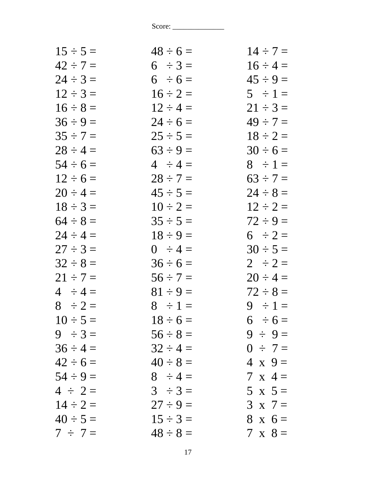| $15 \div 5 =$ | $48 \div 6 =$ | $14 \div 7 =$  |
|---------------|---------------|----------------|
| $42 \div 7 =$ | $6 \div 3 =$  | $16 \div 4 =$  |
| $24 \div 3 =$ | $6 \div 6 =$  | $45 \div 9 =$  |
| $12 \div 3 =$ | $16 \div 2 =$ | $5 \div 1 =$   |
| $16 \div 8 =$ | $12 \div 4 =$ | $21 \div 3 =$  |
| $36 \div 9 =$ | $24 \div 6 =$ | $49 \div 7 =$  |
| $35 \div 7 =$ | $25 \div 5 =$ | $18 \div 2 =$  |
| $28 \div 4 =$ | $63 \div 9 =$ | $30 \div 6 =$  |
| $54 \div 6 =$ | $4 \div 4 =$  | $8 \div 1 =$   |
| $12 \div 6 =$ | $28 \div 7 =$ | $63 \div 7 =$  |
| $20 \div 4 =$ | $45 \div 5 =$ | $24 \div 8 =$  |
| $18 \div 3 =$ | $10 \div 2 =$ | $12 \div 2 =$  |
| $64 \div 8 =$ | $35 \div 5 =$ | $72 \div 9 =$  |
| $24 \div 4 =$ | $18 \div 9 =$ | $6 \div 2 =$   |
| $27 \div 3 =$ | $0 \div 4 =$  | $30 \div 5 =$  |
| $32 \div 8 =$ | $36 \div 6 =$ | $2 \div 2 =$   |
| $21 \div 7 =$ | $56 \div 7 =$ | $20 \div 4 =$  |
| $4 \div 4 =$  | $81 \div 9 =$ | $72 \div 8 =$  |
| $8 \div 2 =$  | $8 \div 1 =$  | $9 \div 1 =$   |
| $10 \div 5 =$ | $18 \div 6 =$ | $6 \div 6 =$   |
| $9 \div 3 =$  | $56 \div 8 =$ | $9 \div 9 =$   |
| $36 \div 4 =$ | $32 \div 4 =$ | $0 \div 7 =$   |
| $42 \div 6 =$ | $40 \div 8 =$ | $4 \times 9 =$ |
| $54 \div 9 =$ | $8 \div 4 =$  | $7 \times 4 =$ |
| $4 \div 2 =$  | $3 \div 3 =$  | $5 \times 5=$  |
| $14 \div 2 =$ | $27 \div 9 =$ | $3 \times 7 =$ |
| $40 \div 5 =$ | $15 \div 3 =$ | $8 \times 6 =$ |
| $7 \div 7 =$  | $48 \div 8 =$ | $7 \times 8 =$ |
|               |               |                |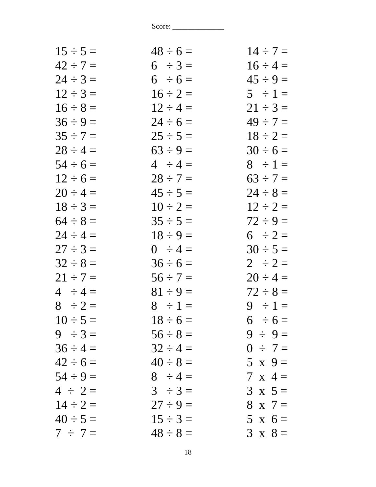| $15 \div 5 =$ | $48 \div 6 =$ | $14 \div 7 =$  |
|---------------|---------------|----------------|
| $42 \div 7 =$ | $6 \div 3 =$  | $16 \div 4 =$  |
| $24 \div 3 =$ | $6 \div 6 =$  | $45 \div 9 =$  |
| $12 \div 3 =$ | $16 \div 2 =$ | $5 \div 1 =$   |
| $16 \div 8 =$ | $12 \div 4 =$ | $21 \div 3 =$  |
| $36 \div 9 =$ | $24 \div 6 =$ | $49 \div 7 =$  |
| $35 \div 7 =$ | $25 \div 5 =$ | $18 \div 2 =$  |
| $28 \div 4 =$ | $63 \div 9 =$ | $30 \div 6 =$  |
| $54 \div 6 =$ | $4 \div 4 =$  | $8 \div 1 =$   |
| $12 \div 6 =$ | $28 \div 7 =$ | $63 \div 7 =$  |
| $20 \div 4 =$ | $45 \div 5 =$ | $24 \div 8 =$  |
| $18 \div 3 =$ | $10 \div 2 =$ | $12 \div 2 =$  |
| $64 \div 8 =$ | $35 \div 5 =$ | $72 \div 9 =$  |
| $24 \div 4 =$ | $18 \div 9 =$ | $6 \div 2 =$   |
| $27 \div 3 =$ | $0 \div 4 =$  | $30 \div 5 =$  |
| $32 \div 8 =$ | $36 \div 6 =$ | $2 \div 2 =$   |
| $21 \div 7 =$ | $56 \div 7 =$ | $20 \div 4 =$  |
| $4 \div 4 =$  | $81 \div 9 =$ | $72 \div 8 =$  |
| $8 \div 2 =$  | $8 \div 1 =$  | $9 \div 1 =$   |
| $10 \div 5 =$ | $18 \div 6 =$ | $6 \div 6 =$   |
| $9 \div 3 =$  | $56 \div 8 =$ | $9 \div 9 =$   |
| $36 \div 4 =$ | $32 \div 4 =$ | $0 \div 7 =$   |
| $42 \div 6 =$ | $40 \div 8 =$ | $5 \times 9=$  |
| $54 \div 9 =$ | $8 \div 4 =$  | $7 \times 4 =$ |
| $4 \div 2 =$  | $3 \div 3 =$  | $3 \times 5 =$ |
| $14 \div 2 =$ | $27 \div 9 =$ | $8 \times 7 =$ |
| $40 \div 5 =$ | $15 \div 3 =$ | $5 \times 6 =$ |
| $7 \div 7 =$  | $48 \div 8 =$ | $3 \times 8 =$ |
|               |               |                |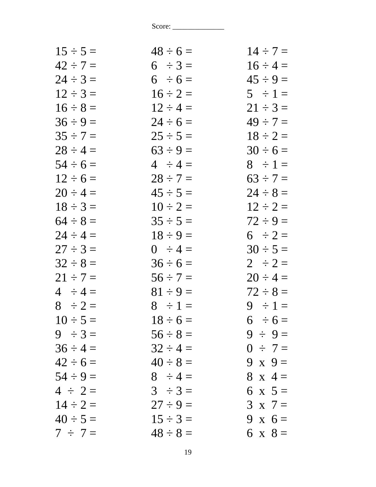| $15 \div 5 =$ | $48 \div 6 =$ | $14 \div 7 =$  |
|---------------|---------------|----------------|
| $42 \div 7 =$ | $6 \div 3 =$  | $16 \div 4 =$  |
| $24 \div 3 =$ | $6 \div 6 =$  | $45 \div 9 =$  |
| $12 \div 3 =$ | $16 \div 2 =$ | $5 \div 1 =$   |
| $16 \div 8 =$ | $12 \div 4 =$ | $21 \div 3 =$  |
| $36 \div 9 =$ | $24 \div 6 =$ | $49 \div 7 =$  |
| $35 \div 7 =$ | $25 \div 5 =$ | $18 \div 2 =$  |
| $28 \div 4 =$ | $63 \div 9 =$ | $30 \div 6 =$  |
| $54 \div 6 =$ | $4 \div 4 =$  | $8 \div 1 =$   |
| $12 \div 6 =$ | $28 \div 7 =$ | $63 \div 7 =$  |
| $20 \div 4 =$ | $45 \div 5 =$ | $24 \div 8 =$  |
| $18 \div 3 =$ | $10 \div 2 =$ | $12 \div 2 =$  |
| $64 \div 8 =$ | $35 \div 5 =$ | $72 \div 9 =$  |
| $24 \div 4 =$ | $18 \div 9 =$ | $6 \div 2 =$   |
| $27 \div 3 =$ | $0 \div 4 =$  | $30 \div 5 =$  |
| $32 \div 8 =$ | $36 \div 6 =$ | $2 \div 2 =$   |
| $21 \div 7 =$ | $56 \div 7 =$ | $20 \div 4 =$  |
| $4 \div 4 =$  | $81 \div 9 =$ | $72 \div 8 =$  |
| $8 \div 2 =$  | $8 \div 1 =$  | $9 \div 1 =$   |
| $10 \div 5 =$ | $18 \div 6 =$ | $6 \div 6 =$   |
| $9 \div 3 =$  | $56 \div 8 =$ | $9 \div 9 =$   |
| $36 \div 4 =$ | $32 \div 4 =$ | $0 \div 7 =$   |
| $42 \div 6 =$ | $40 \div 8 =$ | 9 x $9=$       |
| $54 \div 9 =$ | $8 \div 4 =$  | $8 \times 4 =$ |
| $4 \div 2 =$  | $3 \div 3 =$  | 6 x $5 =$      |
| $14 \div 2 =$ | $27 \div 9 =$ | $3 \times 7 =$ |
| $40 \div 5 =$ | $15 \div 3 =$ | 9 x $6 =$      |
| $7 \div 7 =$  | $48 \div 8 =$ | 6 x $8 =$      |
|               |               |                |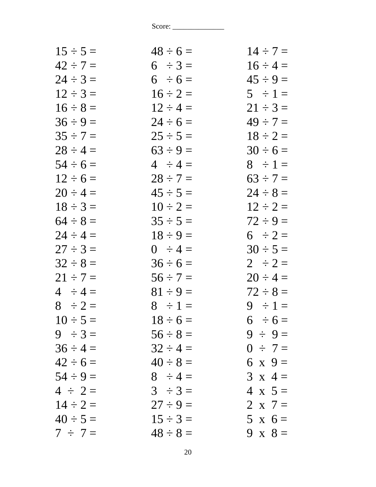| $15 \div 5 =$ | $48 \div 6 =$ | $14 \div 7 =$  |
|---------------|---------------|----------------|
| $42 \div 7 =$ | $6 \div 3 =$  | $16 \div 4 =$  |
| $24 \div 3 =$ | $6 \div 6 =$  | $45 \div 9 =$  |
| $12 \div 3 =$ | $16 \div 2 =$ | $5 \div 1 =$   |
| $16 \div 8 =$ | $12 \div 4 =$ | $21 \div 3 =$  |
| $36 \div 9 =$ | $24 \div 6 =$ | $49 \div 7 =$  |
| $35 \div 7 =$ | $25 \div 5 =$ | $18 \div 2 =$  |
| $28 \div 4 =$ | $63 \div 9 =$ | $30 \div 6 =$  |
| $54 \div 6 =$ | $4 \div 4 =$  | $8 \div 1 =$   |
| $12 \div 6 =$ | $28 \div 7 =$ | $63 \div 7 =$  |
| $20 \div 4 =$ | $45 \div 5 =$ | $24 \div 8 =$  |
| $18 \div 3 =$ | $10 \div 2 =$ | $12 \div 2 =$  |
| $64 \div 8 =$ | $35 \div 5 =$ | $72 \div 9 =$  |
| $24 \div 4 =$ | $18 \div 9 =$ | $6 \div 2 =$   |
| $27 \div 3 =$ | $0 \div 4 =$  | $30 \div 5 =$  |
| $32 \div 8 =$ | $36 \div 6 =$ | $2 \div 2 =$   |
| $21 \div 7 =$ | $56 \div 7 =$ | $20 \div 4 =$  |
| $4 \div 4 =$  | $81 \div 9 =$ | $72 \div 8 =$  |
| $8 \div 2 =$  | $8 \div 1 =$  | $9 \div 1 =$   |
| $10 \div 5 =$ | $18 \div 6 =$ | $6 \div 6 =$   |
| $9 \div 3 =$  | $56 \div 8 =$ | $9 \div 9 =$   |
| $36 \div 4 =$ | $32 \div 4 =$ | $0 \div 7 =$   |
| $42 \div 6 =$ | $40 \div 8 =$ | 6 x $9 =$      |
| $54 \div 9 =$ | $8 \div 4 =$  | $3 \times 4 =$ |
| $4 \div 2 =$  | $3 \div 3 =$  | $4 \times 5 =$ |
| $14 \div 2 =$ | $27 \div 9 =$ | 2 x $7 =$      |
| $40 \div 5 =$ | $15 \div 3 =$ | $5 \times 6 =$ |
| $7 \div 7 =$  | $48 \div 8 =$ | 9 x $8 =$      |
|               |               |                |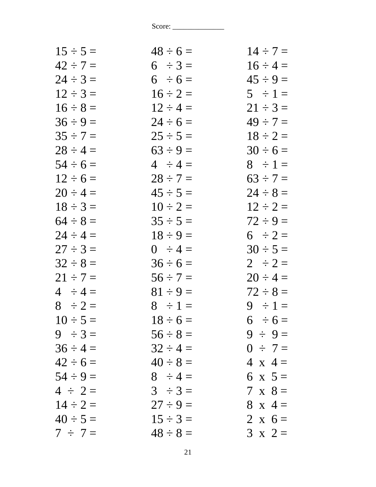| $15 \div 5 =$ | $48 \div 6 =$ | $14 \div 7 =$  |
|---------------|---------------|----------------|
| $42 \div 7 =$ | $6 \div 3 =$  | $16 \div 4 =$  |
| $24 \div 3 =$ | $6 \div 6 =$  | $45 \div 9 =$  |
| $12 \div 3 =$ | $16 \div 2 =$ | $5 \div 1 =$   |
| $16 \div 8 =$ | $12 \div 4 =$ | $21 \div 3 =$  |
| $36 \div 9 =$ | $24 \div 6 =$ | $49 \div 7 =$  |
| $35 \div 7 =$ | $25 \div 5 =$ | $18 \div 2 =$  |
| $28 \div 4 =$ | $63 \div 9 =$ | $30 \div 6 =$  |
| $54 \div 6 =$ | $4 \div 4 =$  | $8 \div 1 =$   |
| $12 \div 6 =$ | $28 \div 7 =$ | $63 \div 7 =$  |
| $20 \div 4 =$ | $45 \div 5 =$ | $24 \div 8 =$  |
| $18 \div 3 =$ | $10 \div 2 =$ | $12 \div 2 =$  |
| $64 \div 8 =$ | $35 \div 5 =$ | $72 \div 9 =$  |
| $24 \div 4 =$ | $18 \div 9 =$ | $6 \div 2 =$   |
| $27 \div 3 =$ | $0 \div 4 =$  | $30 \div 5 =$  |
| $32 \div 8 =$ | $36 \div 6 =$ | $2 \div 2 =$   |
| $21 \div 7 =$ | $56 \div 7 =$ | $20 \div 4 =$  |
| $4 \div 4 =$  | $81 \div 9 =$ | $72 \div 8 =$  |
| $8 \div 2 =$  | $8 \div 1 =$  | $9 \div 1 =$   |
| $10 \div 5 =$ | $18 \div 6 =$ | $6 \div 6 =$   |
| $9 \div 3 =$  | $56 \div 8 =$ | $9 \div 9 =$   |
| $36 \div 4 =$ | $32 \div 4 =$ | $0 \div 7 =$   |
| $42 \div 6 =$ | $40 \div 8 =$ | $4 \times 4 =$ |
| $54 \div 9 =$ | $8 \div 4 =$  | 6 x $5 =$      |
| $4 \div 2 =$  | $3 \div 3 =$  | $7 \times 8 =$ |
| $14 \div 2 =$ | $27 \div 9 =$ | $8 \times 4 =$ |
| $40 \div 5 =$ | $15 \div 3 =$ | 2 x $6 =$      |
| $7 \div 7 =$  | $48 \div 8 =$ | $3 \times 2 =$ |
|               |               |                |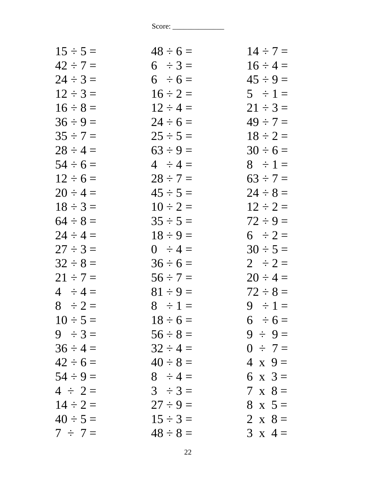| $15 \div 5 =$ | $48 \div 6 =$ | $14 \div 7 =$  |
|---------------|---------------|----------------|
| $42 \div 7 =$ | $6 \div 3 =$  | $16 \div 4 =$  |
| $24 \div 3 =$ | $6 \div 6 =$  | $45 \div 9 =$  |
| $12 \div 3 =$ | $16 \div 2 =$ | $5 \div 1 =$   |
| $16 \div 8 =$ | $12 \div 4 =$ | $21 \div 3 =$  |
| $36 \div 9 =$ | $24 \div 6 =$ | $49 \div 7 =$  |
| $35 \div 7 =$ | $25 \div 5 =$ | $18 \div 2 =$  |
| $28 \div 4 =$ | $63 \div 9 =$ | $30 \div 6 =$  |
| $54 \div 6 =$ | $4 \div 4 =$  | $8 \div 1 =$   |
| $12 \div 6 =$ | $28 \div 7 =$ | $63 \div 7 =$  |
| $20 \div 4 =$ | $45 \div 5 =$ | $24 \div 8 =$  |
| $18 \div 3 =$ | $10 \div 2 =$ | $12 \div 2 =$  |
| $64 \div 8 =$ | $35 \div 5 =$ | $72 \div 9 =$  |
| $24 \div 4 =$ | $18 \div 9 =$ | $6 \div 2 =$   |
| $27 \div 3 =$ | $0 \div 4 =$  | $30 \div 5 =$  |
| $32 \div 8 =$ | $36 \div 6 =$ | $2 \div 2 =$   |
| $21 \div 7 =$ | $56 \div 7 =$ | $20 \div 4 =$  |
| $4 \div 4 =$  | $81 \div 9 =$ | $72 \div 8 =$  |
| $8 \div 2 =$  | $8 \div 1 =$  | $9 \div 1 =$   |
| $10 \div 5 =$ | $18 \div 6 =$ | $6 \div 6 =$   |
| $9 \div 3 =$  | $56 \div 8 =$ | $9 \div 9 =$   |
| $36 \div 4 =$ | $32 \div 4 =$ | $0 \div 7 =$   |
| $42 \div 6 =$ | $40 \div 8 =$ | $4 \times 9 =$ |
| $54 \div 9 =$ | $8 \div 4 =$  | 6 x $3 =$      |
| $4 \div 2 =$  | $3 \div 3 =$  | $7 \times 8 =$ |
| $14 \div 2 =$ | $27 \div 9 =$ | $8 \times 5 =$ |
| $40 \div 5 =$ | $15 \div 3 =$ | 2 x $8 =$      |
| $7 \div 7 =$  | $48 \div 8 =$ | $3 \times 4 =$ |
|               |               |                |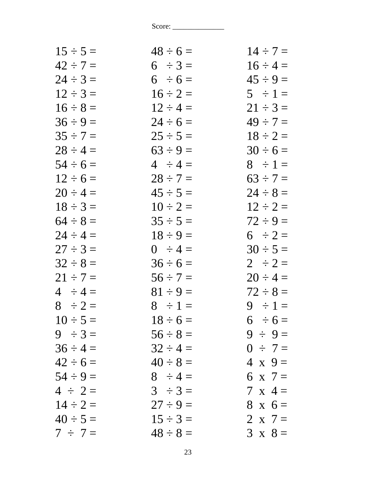| $15 \div 5 =$ | $48 \div 6 =$ | $14 \div 7 =$  |
|---------------|---------------|----------------|
| $42 \div 7 =$ | $6 \div 3 =$  | $16 \div 4 =$  |
| $24 \div 3 =$ | $6 \div 6 =$  | $45 \div 9 =$  |
| $12 \div 3 =$ | $16 \div 2 =$ | $5 \div 1 =$   |
| $16 \div 8 =$ | $12 \div 4 =$ | $21 \div 3 =$  |
| $36 \div 9 =$ | $24 \div 6 =$ | $49 \div 7 =$  |
| $35 \div 7 =$ | $25 \div 5 =$ | $18 \div 2 =$  |
| $28 \div 4 =$ | $63 \div 9 =$ | $30 \div 6 =$  |
| $54 \div 6 =$ | $4 \div 4 =$  | $8 \div 1 =$   |
| $12 \div 6 =$ | $28 \div 7 =$ | $63 \div 7 =$  |
| $20 \div 4 =$ | $45 \div 5 =$ | $24 \div 8 =$  |
| $18 \div 3 =$ | $10 \div 2 =$ | $12 \div 2 =$  |
| $64 \div 8 =$ | $35 \div 5 =$ | $72 \div 9 =$  |
| $24 \div 4 =$ | $18 \div 9 =$ | $6 \div 2 =$   |
| $27 \div 3 =$ | $0 \div 4 =$  | $30 \div 5 =$  |
| $32 \div 8 =$ | $36 \div 6 =$ | $2 \div 2 =$   |
| $21 \div 7 =$ | $56 \div 7 =$ | $20 \div 4 =$  |
| $4 \div 4 =$  | $81 \div 9 =$ | $72 \div 8 =$  |
| $8 \div 2 =$  | $8 \div 1 =$  | $9 \div 1 =$   |
| $10 \div 5 =$ | $18 \div 6 =$ | $6 \div 6 =$   |
| $9 \div 3 =$  | $56 \div 8 =$ | $9 \div 9 =$   |
| $36 \div 4 =$ | $32 \div 4 =$ | $0 \div 7 =$   |
| $42 \div 6 =$ | $40 \div 8 =$ | $4 \times 9 =$ |
| $54 \div 9 =$ | $8 \div 4 =$  | 6 x 7 =        |
| $4 \div 2 =$  | $3 \div 3 =$  | $7 \times 4 =$ |
| $14 \div 2 =$ | $27 \div 9 =$ | $8 \times 6 =$ |
| $40 \div 5 =$ | $15 \div 3 =$ | 2 x $7=$       |
| $7 \div 7 =$  | $48 \div 8 =$ | $3 \times 8 =$ |
|               |               |                |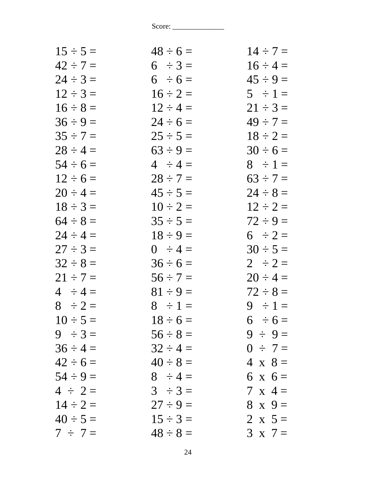| $48 \div 6 =$ | $14 \div 7 =$  |
|---------------|----------------|
| $6 \div 3 =$  | $16 \div 4 =$  |
| $6 \div 6 =$  | $45 \div 9 =$  |
| $16 \div 2 =$ | $5 \div 1 =$   |
| $12 \div 4 =$ | $21 \div 3 =$  |
| $24 \div 6 =$ | $49 \div 7 =$  |
| $25 \div 5 =$ | $18 \div 2 =$  |
| $63 \div 9 =$ | $30 \div 6 =$  |
| $4 \div 4 =$  | $8 \div 1 =$   |
| $28 \div 7 =$ | $63 \div 7 =$  |
| $45 \div 5 =$ | $24 \div 8 =$  |
| $10 \div 2 =$ | $12 \div 2 =$  |
| $35 \div 5 =$ | $72 \div 9 =$  |
| $18 \div 9 =$ | $6 \div 2 =$   |
| $0 \div 4 =$  | $30 \div 5 =$  |
| $36 \div 6 =$ | $2 \div 2 =$   |
| $56 \div 7 =$ | $20 \div 4 =$  |
| $81 \div 9 =$ | $72 \div 8 =$  |
| $8 \div 1 =$  | $9 \div 1 =$   |
| $18 \div 6 =$ | $6 \div 6 =$   |
| $56 \div 8 =$ | $9 \div 9 =$   |
| $32 \div 4 =$ | $0 \div 7 =$   |
| $40 \div 8 =$ | $4 \times 8 =$ |
| $8 \div 4 =$  | $6 \times 6 =$ |
| $3 \div 3 =$  | $7 \times 4 =$ |
| $27 \div 9 =$ | $8 \times 9 =$ |
| $15 \div 3 =$ | 2 x $5 =$      |
| $48 \div 8 =$ | $3 \times 7 =$ |
|               |                |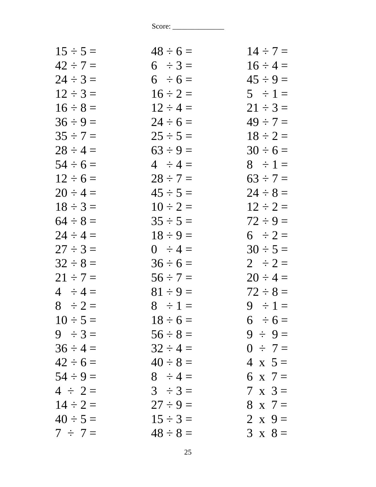| $48 \div 6 =$ | $14 \div 7 =$  |
|---------------|----------------|
| $6 \div 3 =$  | $16 \div 4 =$  |
| $6 \div 6 =$  | $45 \div 9 =$  |
| $16 \div 2 =$ | $5 \div 1 =$   |
| $12 \div 4 =$ | $21 \div 3 =$  |
| $24 \div 6 =$ | $49 \div 7 =$  |
| $25 \div 5 =$ | $18 \div 2 =$  |
| $63 \div 9 =$ | $30 \div 6 =$  |
| $4 \div 4 =$  | $8 \div 1 =$   |
| $28 \div 7 =$ | $63 \div 7 =$  |
| $45 \div 5 =$ | $24 \div 8 =$  |
| $10 \div 2 =$ | $12 \div 2 =$  |
| $35 \div 5 =$ | $72 \div 9 =$  |
| $18 \div 9 =$ | $6 \div 2 =$   |
| $0 \div 4 =$  | $30 \div 5 =$  |
| $36 \div 6 =$ | $2 \div 2 =$   |
| $56 \div 7 =$ | $20 \div 4 =$  |
| $81 \div 9 =$ | $72 \div 8 =$  |
| $8 \div 1 =$  | $9 \div 1 =$   |
| $18 \div 6 =$ | $6 \div 6 =$   |
| $56 \div 8 =$ | $9 \div 9 =$   |
| $32 \div 4 =$ | $0 \div 7 =$   |
| $40 \div 8 =$ | $4 \times 5 =$ |
| $8 \div 4 =$  | 6 x 7 =        |
| $3 \div 3 =$  | $7 \times 3 =$ |
| $27 \div 9 =$ | $8 \times 7 =$ |
| $15 \div 3 =$ | 2 x $9 =$      |
| $48 \div 8 =$ | $3 \times 8 =$ |
|               |                |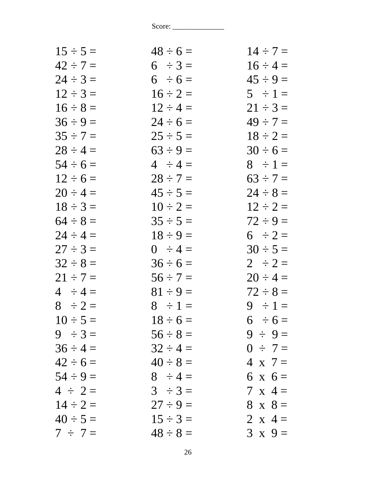| $48 \div 6 =$ | $14 \div 7 =$  |
|---------------|----------------|
| $6 \div 3 =$  | $16 \div 4 =$  |
| $6 \div 6 =$  | $45 \div 9 =$  |
| $16 \div 2 =$ | $5 \div 1 =$   |
| $12 \div 4 =$ | $21 \div 3 =$  |
| $24 \div 6 =$ | $49 \div 7 =$  |
| $25 \div 5 =$ | $18 \div 2 =$  |
| $63 \div 9 =$ | $30 \div 6 =$  |
| $4 \div 4 =$  | $8 \div 1 =$   |
| $28 \div 7 =$ | $63 \div 7 =$  |
| $45 \div 5 =$ | $24 \div 8 =$  |
| $10 \div 2 =$ | $12 \div 2 =$  |
| $35 \div 5 =$ | $72 \div 9 =$  |
| $18 \div 9 =$ | $6 \div 2 =$   |
| $0 \div 4 =$  | $30 \div 5 =$  |
| $36 \div 6 =$ | $2 \div 2 =$   |
| $56 \div 7 =$ | $20 \div 4 =$  |
| $81 \div 9 =$ | $72 \div 8 =$  |
| $8 \div 1 =$  | $9 \div 1 =$   |
| $18 \div 6 =$ | $6 \div 6 =$   |
| $56 \div 8 =$ | $9 \div 9 =$   |
| $32 \div 4 =$ | $0 \div 7 =$   |
| $40 \div 8 =$ | $4 \times 7 =$ |
| $8 \div 4 =$  | $6 \times 6 =$ |
| $3 \div 3 =$  | $7 \times 4 =$ |
| $27 \div 9 =$ | $8 \times 8 =$ |
| $15 \div 3 =$ | 2 x 4 =        |
| $48 \div 8 =$ | $3 \times 9 =$ |
|               |                |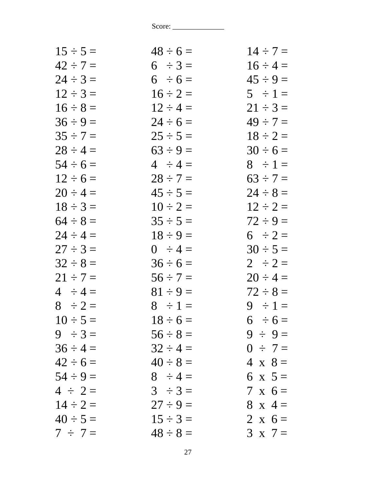| $48 \div 6 =$ | $14 \div 7 =$  |
|---------------|----------------|
| $6 \div 3 =$  | $16 \div 4 =$  |
| $6 \div 6 =$  | $45 \div 9 =$  |
| $16 \div 2 =$ | $5 \div 1 =$   |
| $12 \div 4 =$ | $21 \div 3 =$  |
| $24 \div 6 =$ | $49 \div 7 =$  |
| $25 \div 5 =$ | $18 \div 2 =$  |
| $63 \div 9 =$ | $30 \div 6 =$  |
| $4 \div 4 =$  | $8 \div 1 =$   |
| $28 \div 7 =$ | $63 \div 7 =$  |
| $45 \div 5 =$ | $24 \div 8 =$  |
| $10 \div 2 =$ | $12 \div 2 =$  |
| $35 \div 5 =$ | $72 \div 9 =$  |
| $18 \div 9 =$ | $6 \div 2 =$   |
| $0 \div 4 =$  | $30 \div 5 =$  |
| $36 \div 6 =$ | $2 \div 2 =$   |
| $56 \div 7 =$ | $20 \div 4 =$  |
| $81 \div 9 =$ | $72 \div 8 =$  |
| $8 \div 1 =$  | $9 \div 1 =$   |
| $18 \div 6 =$ | $6 \div 6 =$   |
| $56 \div 8 =$ | $9 \div 9 =$   |
| $32 \div 4 =$ | $0 \div 7 =$   |
| $40 \div 8 =$ | $4 \times 8 =$ |
| $8 \div 4 =$  | 6 x $5 =$      |
| $3 \div 3 =$  | $7 \times 6 =$ |
| $27 \div 9 =$ | $8 \times 4 =$ |
| $15 \div 3 =$ | 2 x $6 =$      |
| $48 \div 8 =$ | $3 \times 7 =$ |
|               |                |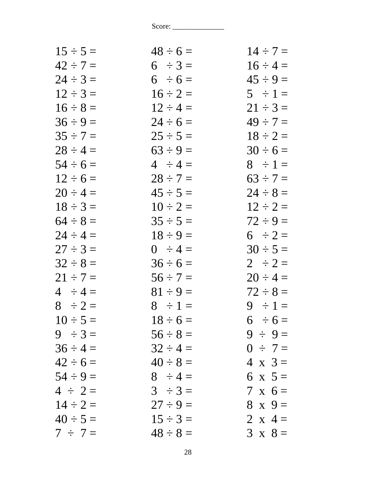| $15 \div 5 =$ | $48 \div 6 =$ | $14 \div 7 =$  |
|---------------|---------------|----------------|
| $42 \div 7 =$ | $6 \div 3 =$  | $16 \div 4 =$  |
| $24 \div 3 =$ | $6 \div 6 =$  | $45 \div 9 =$  |
| $12 \div 3 =$ | $16 \div 2 =$ | $5 \div 1 =$   |
| $16 \div 8 =$ | $12 \div 4 =$ | $21 \div 3 =$  |
| $36 \div 9 =$ | $24 \div 6 =$ | $49 \div 7 =$  |
| $35 \div 7 =$ | $25 \div 5 =$ | $18 \div 2 =$  |
| $28 \div 4 =$ | $63 \div 9 =$ | $30 \div 6 =$  |
| $54 \div 6 =$ | $4 \div 4 =$  | $8 \div 1 =$   |
| $12 \div 6 =$ | $28 \div 7 =$ | $63 \div 7 =$  |
| $20 \div 4 =$ | $45 \div 5 =$ | $24 \div 8 =$  |
| $18 \div 3 =$ | $10 \div 2 =$ | $12 \div 2 =$  |
| $64 \div 8 =$ | $35 \div 5 =$ | $72 \div 9 =$  |
| $24 \div 4 =$ | $18 \div 9 =$ | $6 \div 2 =$   |
| $27 \div 3 =$ | $0 \div 4 =$  | $30 \div 5 =$  |
| $32 \div 8 =$ | $36 \div 6 =$ | $2 \div 2 =$   |
| $21 \div 7 =$ | $56 \div 7 =$ | $20 \div 4 =$  |
| $4 \div 4 =$  | $81 \div 9 =$ | $72 \div 8 =$  |
| $8 \div 2 =$  | $8 \div 1 =$  | $9 \div 1 =$   |
| $10 \div 5 =$ | $18 \div 6 =$ | $6 \div 6 =$   |
| $9 \div 3 =$  | $56 \div 8 =$ | $9 \div 9 =$   |
| $36 \div 4 =$ | $32 \div 4 =$ | $0 \div 7 =$   |
| $42 \div 6 =$ | $40 \div 8 =$ | $4 \times 3 =$ |
| $54 \div 9 =$ | $8 \div 4 =$  | 6 x $5 =$      |
| $4 \div 2 =$  | $3 \div 3 =$  | $7 \times 6 =$ |
| $14 \div 2 =$ | $27 \div 9 =$ | $8 \times 9 =$ |
| $40 \div 5 =$ | $15 \div 3 =$ | 2 x 4 =        |
| $7 \div 7 =$  | $48 \div 8 =$ | $3 \times 8 =$ |
|               |               |                |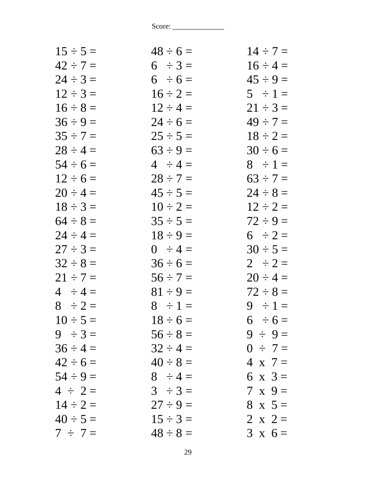| $48 \div 6 =$ | $14 \div 7 =$  |
|---------------|----------------|
| $6 \div 3 =$  | $16 \div 4 =$  |
| $6 \div 6 =$  | $45 \div 9 =$  |
| $16 \div 2 =$ | $5 \div 1 =$   |
| $12 \div 4 =$ | $21 \div 3 =$  |
| $24 \div 6 =$ | $49 \div 7 =$  |
| $25 \div 5 =$ | $18 \div 2 =$  |
| $63 \div 9 =$ | $30 \div 6 =$  |
| $4 \div 4 =$  | $8 \div 1 =$   |
| $28 \div 7 =$ | $63 \div 7 =$  |
| $45 \div 5 =$ | $24 \div 8 =$  |
| $10 \div 2 =$ | $12 \div 2 =$  |
| $35 \div 5 =$ | $72 \div 9 =$  |
| $18 \div 9 =$ | $6 \div 2 =$   |
| $0 \div 4 =$  | $30 \div 5 =$  |
| $36 \div 6 =$ | $2 \div 2 =$   |
| $56 \div 7 =$ | $20 \div 4 =$  |
| $81 \div 9 =$ | $72 \div 8 =$  |
| $8 \div 1 =$  | $9 \div 1 =$   |
| $18 \div 6 =$ | $6 \div 6 =$   |
| $56 \div 8 =$ | $9 \div 9 =$   |
| $32 \div 4 =$ | $0 \div 7 =$   |
| $40 \div 8 =$ | $4 \times 7 =$ |
| $8 \div 4 =$  | 6 x $3 =$      |
| $3 \div 3 =$  | $7 \times 9 =$ |
| $27 \div 9 =$ | $8 \times 5 =$ |
| $15 \div 3 =$ | 2 x 2 =        |
| $48 \div 8 =$ | $3 \times 6 =$ |
|               |                |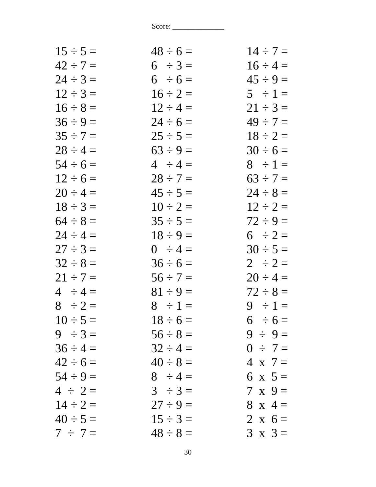| $15 \div 5 =$ | $48 \div 6 =$ | $14 \div 7 =$  |
|---------------|---------------|----------------|
| $42 \div 7 =$ | $6 \div 3 =$  | $16 \div 4 =$  |
| $24 \div 3 =$ | $6 \div 6 =$  | $45 \div 9 =$  |
| $12 \div 3 =$ | $16 \div 2 =$ | $5 \div 1 =$   |
| $16 \div 8 =$ | $12 \div 4 =$ | $21 \div 3 =$  |
| $36 \div 9 =$ | $24 \div 6 =$ | $49 \div 7 =$  |
| $35 \div 7 =$ | $25 \div 5 =$ | $18 \div 2 =$  |
| $28 \div 4 =$ | $63 \div 9 =$ | $30 \div 6 =$  |
| $54 \div 6 =$ | $4 \div 4 =$  | $8 \div 1 =$   |
| $12 \div 6 =$ | $28 \div 7 =$ | $63 \div 7 =$  |
| $20 \div 4 =$ | $45 \div 5 =$ | $24 \div 8 =$  |
| $18 \div 3 =$ | $10 \div 2 =$ | $12 \div 2 =$  |
| $64 \div 8 =$ | $35 \div 5 =$ | $72 \div 9 =$  |
| $24 \div 4 =$ | $18 \div 9 =$ | $6 \div 2 =$   |
| $27 \div 3 =$ | $0 \div 4 =$  | $30 \div 5 =$  |
| $32 \div 8 =$ | $36 \div 6 =$ | $2 \div 2 =$   |
| $21 \div 7 =$ | $56 \div 7 =$ | $20 \div 4 =$  |
| $4 \div 4 =$  | $81 \div 9 =$ | $72 \div 8 =$  |
| $8 \div 2 =$  | $8 \div 1 =$  | $9 \div 1 =$   |
| $10 \div 5 =$ | $18 \div 6 =$ | $6 \div 6 =$   |
| $9 \div 3 =$  | $56 \div 8 =$ | $9 \div 9 =$   |
| $36 \div 4 =$ | $32 \div 4 =$ | $0 \div 7 =$   |
| $42 \div 6 =$ | $40 \div 8 =$ | $4 \times 7 =$ |
| $54 \div 9 =$ | $8 \div 4 =$  | 6 x $5 =$      |
| $4 \div 2 =$  | $3 \div 3 =$  | $7 \times 9 =$ |
| $14 \div 2 =$ | $27 \div 9 =$ | $8 \times 4 =$ |
| $40 \div 5 =$ | $15 \div 3 =$ | 2 x $6 =$      |
| $7 \div 7 =$  | $48 \div 8 =$ | $3 \times 3 =$ |
|               |               |                |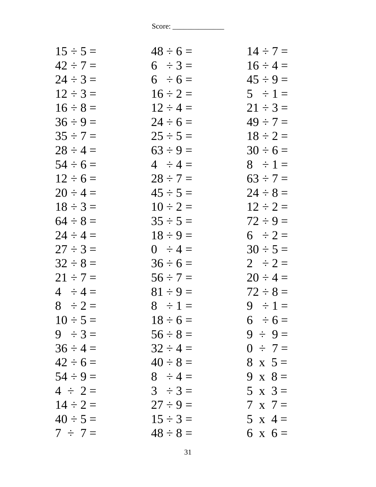| $15 \div 5 =$ | $48 \div 6 =$ | $14 \div 7 =$  |
|---------------|---------------|----------------|
| $42 \div 7 =$ | $6 \div 3 =$  | $16 \div 4 =$  |
| $24 \div 3 =$ | $6 \div 6 =$  | $45 \div 9 =$  |
| $12 \div 3 =$ | $16 \div 2 =$ | $5 \div 1 =$   |
| $16 \div 8 =$ | $12 \div 4 =$ | $21 \div 3 =$  |
| $36 \div 9 =$ | $24 \div 6 =$ | $49 \div 7 =$  |
| $35 \div 7 =$ | $25 \div 5 =$ | $18 \div 2 =$  |
| $28 \div 4 =$ | $63 \div 9 =$ | $30 \div 6 =$  |
| $54 \div 6 =$ | $4 \div 4 =$  | $8 \div 1 =$   |
| $12 \div 6 =$ | $28 \div 7 =$ | $63 \div 7 =$  |
| $20 \div 4 =$ | $45 \div 5 =$ | $24 \div 8 =$  |
| $18 \div 3 =$ | $10 \div 2 =$ | $12 \div 2 =$  |
| $64 \div 8 =$ | $35 \div 5 =$ | $72 \div 9 =$  |
| $24 \div 4 =$ | $18 \div 9 =$ | $6 \div 2 =$   |
| $27 \div 3 =$ | $0 \div 4 =$  | $30 \div 5 =$  |
| $32 \div 8 =$ | $36 \div 6 =$ | $2 \div 2 =$   |
| $21 \div 7 =$ | $56 \div 7 =$ | $20 \div 4 =$  |
| $4 \div 4 =$  | $81 \div 9 =$ | $72 \div 8 =$  |
| $8 \div 2 =$  | $8 \div 1 =$  | $9 \div 1 =$   |
| $10 \div 5 =$ | $18 \div 6 =$ | $6 \div 6 =$   |
| $9 \div 3 =$  | $56 \div 8 =$ | $9 \div 9 =$   |
| $36 \div 4 =$ | $32 \div 4 =$ | $0 \div 7 =$   |
| $42 \div 6 =$ | $40 \div 8 =$ | $8 \times 5 =$ |
| $54 \div 9 =$ | $8 \div 4 =$  | 9 x $8=$       |
| $4 \div 2 =$  | $3 \div 3 =$  | $5 \times 3=$  |
| $14 \div 2 =$ | $27 \div 9 =$ | $7 \times 7 =$ |
| $40 \div 5 =$ | $15 \div 3 =$ | 5 x 4 =        |
| $7 \div 7 =$  | $48 \div 8 =$ | $6 \times 6 =$ |
|               |               |                |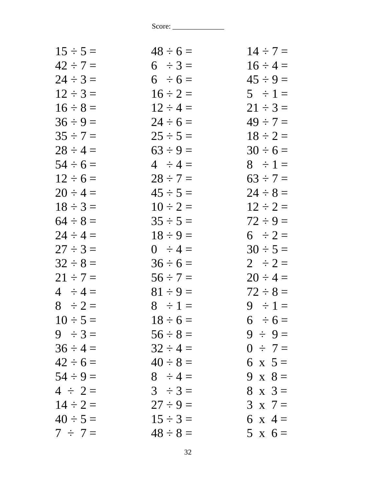| $15 \div 5 =$ | $48 \div 6 =$ | $14 \div 7 =$  |
|---------------|---------------|----------------|
| $42 \div 7 =$ | $6 \div 3 =$  | $16 \div 4 =$  |
| $24 \div 3 =$ | $6 \div 6 =$  | $45 \div 9 =$  |
| $12 \div 3 =$ | $16 \div 2 =$ | $5 \div 1 =$   |
| $16 \div 8 =$ | $12 \div 4 =$ | $21 \div 3 =$  |
| $36 \div 9 =$ | $24 \div 6 =$ | $49 \div 7 =$  |
| $35 \div 7 =$ | $25 \div 5 =$ | $18 \div 2 =$  |
| $28 \div 4 =$ | $63 \div 9 =$ | $30 \div 6 =$  |
| $54 \div 6 =$ | $4 \div 4 =$  | $8 \div 1 =$   |
| $12 \div 6 =$ | $28 \div 7 =$ | $63 \div 7 =$  |
| $20 \div 4 =$ | $45 \div 5 =$ | $24 \div 8 =$  |
| $18 \div 3 =$ | $10 \div 2 =$ | $12 \div 2 =$  |
| $64 \div 8 =$ | $35 \div 5 =$ | $72 \div 9 =$  |
| $24 \div 4 =$ | $18 \div 9 =$ | $6 \div 2 =$   |
| $27 \div 3 =$ | $0 \div 4 =$  | $30 \div 5 =$  |
| $32 \div 8 =$ | $36 \div 6 =$ | $2 \div 2 =$   |
| $21 \div 7 =$ | $56 \div 7 =$ | $20 \div 4 =$  |
| $4 \div 4 =$  | $81 \div 9 =$ | $72 \div 8 =$  |
| $8 \div 2 =$  | $8 \div 1 =$  | $9 \div 1 =$   |
| $10 \div 5 =$ | $18 \div 6 =$ | $6 \div 6 =$   |
| $9 \div 3 =$  | $56 \div 8 =$ | $9 \div 9 =$   |
| $36 \div 4 =$ | $32 \div 4 =$ | $0 \div 7 =$   |
| $42 \div 6 =$ | $40 \div 8 =$ | 6 x $5 =$      |
| $54 \div 9 =$ | $8 \div 4 =$  | 9 x $8 =$      |
| $4 \div 2 =$  | $3 \div 3 =$  | $8 \times 3 =$ |
| $14 \div 2 =$ | $27 \div 9 =$ | $3 \times 7 =$ |
| $40 \div 5 =$ | $15 \div 3 =$ | 6 x 4 =        |
| $7 \div 7 =$  | $48 \div 8 =$ | $5 \times 6 =$ |
|               |               |                |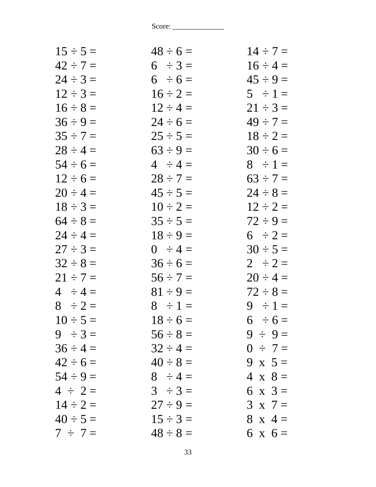| $15 \div 5 =$ | $48 \div 6 =$ | $14 \div 7 =$  |
|---------------|---------------|----------------|
| $42 \div 7 =$ | $6 \div 3 =$  | $16 \div 4 =$  |
| $24 \div 3 =$ | $6 \div 6 =$  | $45 \div 9 =$  |
| $12 \div 3 =$ | $16 \div 2 =$ | $5 \div 1 =$   |
| $16 \div 8 =$ | $12 \div 4 =$ | $21 \div 3 =$  |
| $36 \div 9 =$ | $24 \div 6 =$ | $49 \div 7 =$  |
| $35 \div 7 =$ | $25 \div 5 =$ | $18 \div 2 =$  |
| $28 \div 4 =$ | $63 \div 9 =$ | $30 \div 6 =$  |
| $54 \div 6 =$ | $4 \div 4 =$  | $8 \div 1 =$   |
| $12 \div 6 =$ | $28 \div 7 =$ | $63 \div 7 =$  |
| $20 \div 4 =$ | $45 \div 5 =$ | $24 \div 8 =$  |
| $18 \div 3 =$ | $10 \div 2 =$ | $12 \div 2 =$  |
| $64 \div 8 =$ | $35 \div 5 =$ | $72 \div 9 =$  |
| $24 \div 4 =$ | $18 \div 9 =$ | $6 \div 2 =$   |
| $27 \div 3 =$ | $0 \div 4 =$  | $30 \div 5 =$  |
| $32 \div 8 =$ | $36 \div 6 =$ | $2 \div 2 =$   |
| $21 \div 7 =$ | $56 \div 7 =$ | $20 \div 4 =$  |
| $4 \div 4 =$  | $81 \div 9 =$ | $72 \div 8 =$  |
| $8 \div 2 =$  | $8 \div 1 =$  | $9 \div 1 =$   |
| $10 \div 5 =$ | $18 \div 6 =$ | $6 \div 6 =$   |
| $9 \div 3 =$  | $56 \div 8 =$ | $9 \div 9 =$   |
| $36 \div 4 =$ | $32 \div 4 =$ | $0 \div 7 =$   |
| $42 \div 6 =$ | $40 \div 8 =$ | $9 \times 5 =$ |
| $54 \div 9 =$ | $8 \div 4 =$  | $4 \times 8 =$ |
| $4 \div 2 =$  | $3 \div 3 =$  | 6 x $3 =$      |
| $14 \div 2 =$ | $27 \div 9 =$ | $3 \times 7 =$ |
| $40 \div 5 =$ | $15 \div 3 =$ | $8 \times 4 =$ |
| $7 \div 7 =$  | $48 \div 8 =$ | $6 \times 6 =$ |
|               |               |                |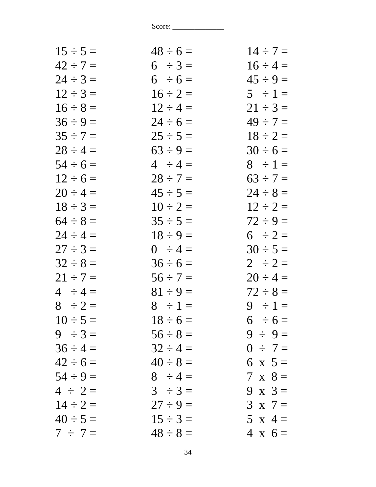| $15 \div 5 =$ | $48 \div 6 =$ | $14 \div 7 =$  |
|---------------|---------------|----------------|
| $42 \div 7 =$ | $6 \div 3 =$  | $16 \div 4 =$  |
| $24 \div 3 =$ | $6 \div 6 =$  | $45 \div 9 =$  |
| $12 \div 3 =$ | $16 \div 2 =$ | $5 \div 1 =$   |
| $16 \div 8 =$ | $12 \div 4 =$ | $21 \div 3 =$  |
| $36 \div 9 =$ | $24 \div 6 =$ | $49 \div 7 =$  |
| $35 \div 7 =$ | $25 \div 5 =$ | $18 \div 2 =$  |
| $28 \div 4 =$ | $63 \div 9 =$ | $30 \div 6 =$  |
| $54 \div 6 =$ | $4 \div 4 =$  | $8 \div 1 =$   |
| $12 \div 6 =$ | $28 \div 7 =$ | $63 \div 7 =$  |
| $20 \div 4 =$ | $45 \div 5 =$ | $24 \div 8 =$  |
| $18 \div 3 =$ | $10 \div 2 =$ | $12 \div 2 =$  |
| $64 \div 8 =$ | $35 \div 5 =$ | $72 \div 9 =$  |
| $24 \div 4 =$ | $18 \div 9 =$ | $6 \div 2 =$   |
| $27 \div 3 =$ | $0 \div 4 =$  | $30 \div 5 =$  |
| $32 \div 8 =$ | $36 \div 6 =$ | $2 \div 2 =$   |
| $21 \div 7 =$ | $56 \div 7 =$ | $20 \div 4 =$  |
| $4 \div 4 =$  | $81 \div 9 =$ | $72 \div 8 =$  |
| $8 \div 2 =$  | $8 \div 1 =$  | $9 \div 1 =$   |
| $10 \div 5 =$ | $18 \div 6 =$ | $6 \div 6 =$   |
| $9 \div 3 =$  | $56 \div 8 =$ | $9 \div 9 =$   |
| $36 \div 4 =$ | $32 \div 4 =$ | $0 \div 7 =$   |
| $42 \div 6 =$ | $40 \div 8 =$ | 6 x $5 =$      |
| $54 \div 9 =$ | $8 \div 4 =$  | $7 \times 8 =$ |
| $4 \div 2 =$  | $3 \div 3 =$  | $9 \times 3 =$ |
| $14 \div 2 =$ | $27 \div 9 =$ | $3 \times 7 =$ |
| $40 \div 5 =$ | $15 \div 3 =$ | 5 x 4 =        |
| $7 \div 7 =$  | $48 \div 8 =$ | $4 \times 6 =$ |
|               |               |                |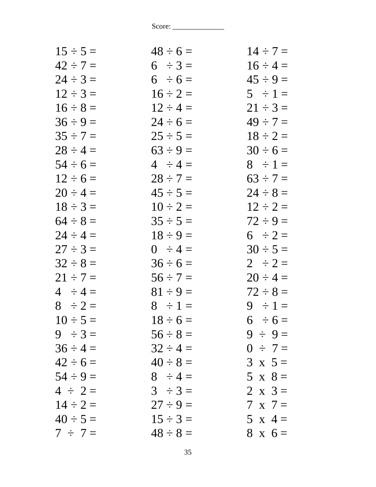| $15 \div 5 =$ | $48 \div 6 =$ | $14 \div 7 =$  |
|---------------|---------------|----------------|
| $42 \div 7 =$ | $6 \div 3 =$  | $16 \div 4 =$  |
| $24 \div 3 =$ | $6 \div 6 =$  | $45 \div 9 =$  |
| $12 \div 3 =$ | $16 \div 2 =$ | $5 \div 1 =$   |
| $16 \div 8 =$ | $12 \div 4 =$ | $21 \div 3 =$  |
| $36 \div 9 =$ | $24 \div 6 =$ | $49 \div 7 =$  |
| $35 \div 7 =$ | $25 \div 5 =$ | $18 \div 2 =$  |
| $28 \div 4 =$ | $63 \div 9 =$ | $30 \div 6 =$  |
| $54 \div 6 =$ | $4 \div 4 =$  | $8 \div 1 =$   |
| $12 \div 6 =$ | $28 \div 7 =$ | $63 \div 7 =$  |
| $20 \div 4 =$ | $45 \div 5 =$ | $24 \div 8 =$  |
| $18 \div 3 =$ | $10 \div 2 =$ | $12 \div 2 =$  |
| $64 \div 8 =$ | $35 \div 5 =$ | $72 \div 9 =$  |
| $24 \div 4 =$ | $18 \div 9 =$ | $6 \div 2 =$   |
| $27 \div 3 =$ | $0 \div 4 =$  | $30 \div 5 =$  |
| $32 \div 8 =$ | $36 \div 6 =$ | $2 \div 2 =$   |
| $21 \div 7 =$ | $56 \div 7 =$ | $20 \div 4 =$  |
| $4 \div 4 =$  | $81 \div 9 =$ | $72 \div 8 =$  |
| $8 \div 2 =$  | $8 \div 1 =$  | $9 \div 1 =$   |
| $10 \div 5 =$ | $18 \div 6 =$ | $6 \div 6 =$   |
| $9 \div 3 =$  | $56 \div 8 =$ | $9 \div 9 =$   |
| $36 \div 4 =$ | $32 \div 4 =$ | $0 \div 7 =$   |
| $42 \div 6 =$ | $40 \div 8 =$ | $3 \times 5 =$ |
| $54 \div 9 =$ | $8 \div 4 =$  | $5 \times 8 =$ |
| $4 \div 2 =$  | $3 \div 3 =$  | $2 \times 3 =$ |
| $14 \div 2 =$ | $27 \div 9 =$ | $7 \times 7 =$ |
| $40 \div 5 =$ | $15 \div 3 =$ | 5 x 4 =        |
| $7 \div 7 =$  | $48 \div 8 =$ | $8 \times 6 =$ |
|               |               |                |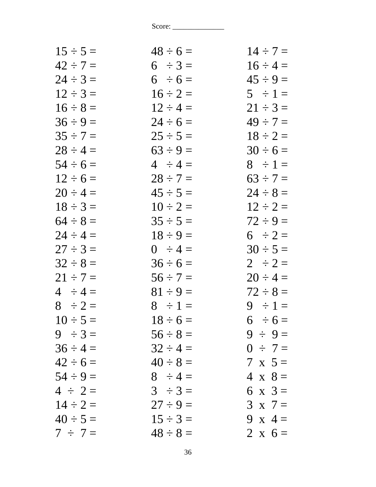| $15 \div 5 =$ | $48 \div 6 =$ | $14 \div 7 =$  |
|---------------|---------------|----------------|
| $42 \div 7 =$ | $6 \div 3 =$  | $16 \div 4 =$  |
| $24 \div 3 =$ | $6 \div 6 =$  | $45 \div 9 =$  |
| $12 \div 3 =$ | $16 \div 2 =$ | $5 \div 1 =$   |
| $16 \div 8 =$ | $12 \div 4 =$ | $21 \div 3 =$  |
| $36 \div 9 =$ | $24 \div 6 =$ | $49 \div 7 =$  |
| $35 \div 7 =$ | $25 \div 5 =$ | $18 \div 2 =$  |
| $28 \div 4 =$ | $63 \div 9 =$ | $30 \div 6 =$  |
| $54 \div 6 =$ | $4 \div 4 =$  | $8 \div 1 =$   |
| $12 \div 6 =$ | $28 \div 7 =$ | $63 \div 7 =$  |
| $20 \div 4 =$ | $45 \div 5 =$ | $24 \div 8 =$  |
| $18 \div 3 =$ | $10 \div 2 =$ | $12 \div 2 =$  |
| $64 \div 8 =$ | $35 \div 5 =$ | $72 \div 9 =$  |
| $24 \div 4 =$ | $18 \div 9 =$ | $6 \div 2 =$   |
| $27 \div 3 =$ | $0 \div 4 =$  | $30 \div 5 =$  |
| $32 \div 8 =$ | $36 \div 6 =$ | $2 \div 2 =$   |
| $21 \div 7 =$ | $56 \div 7 =$ | $20 \div 4 =$  |
| $4 \div 4 =$  | $81 \div 9 =$ | $72 \div 8 =$  |
| $8 \div 2 =$  | $8 \div 1 =$  | $9 \div 1 =$   |
| $10 \div 5 =$ | $18 \div 6 =$ | $6 \div 6 =$   |
| $9 \div 3 =$  | $56 \div 8 =$ | $9 \div 9 =$   |
| $36 \div 4 =$ | $32 \div 4 =$ | $0 \div 7 =$   |
| $42 \div 6 =$ | $40 \div 8 =$ | $7 \times 5 =$ |
| $54 \div 9 =$ | $8 \div 4 =$  | $4 \times 8 =$ |
| $4 \div 2 =$  | $3 \div 3 =$  | 6 x $3 =$      |
| $14 \div 2 =$ | $27 \div 9 =$ | $3 \times 7 =$ |
| $40 \div 5 =$ | $15 \div 3 =$ | 9 x 4 =        |
| $7 \div 7 =$  | $48 \div 8 =$ | 2 x $6=$       |
|               |               |                |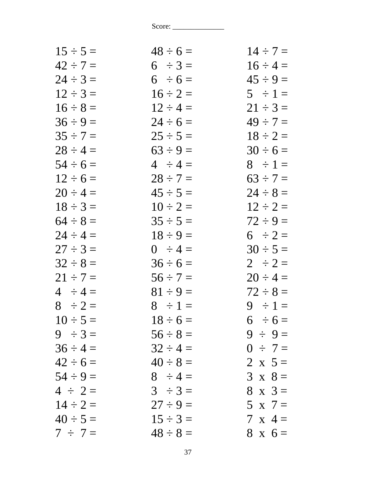| $15 \div 5 =$ | $48 \div 6 =$ | $14 \div 7 =$  |
|---------------|---------------|----------------|
| $42 \div 7 =$ | $6 \div 3 =$  | $16 \div 4 =$  |
| $24 \div 3 =$ | $6 \div 6 =$  | $45 \div 9 =$  |
| $12 \div 3 =$ | $16 \div 2 =$ | $5 \div 1 =$   |
| $16 \div 8 =$ | $12 \div 4 =$ | $21 \div 3 =$  |
| $36 \div 9 =$ | $24 \div 6 =$ | $49 \div 7 =$  |
| $35 \div 7 =$ | $25 \div 5 =$ | $18 \div 2 =$  |
| $28 \div 4 =$ | $63 \div 9 =$ | $30 \div 6 =$  |
| $54 \div 6 =$ | $4 \div 4 =$  | $8 \div 1 =$   |
| $12 \div 6 =$ | $28 \div 7 =$ | $63 \div 7 =$  |
| $20 \div 4 =$ | $45 \div 5 =$ | $24 \div 8 =$  |
| $18 \div 3 =$ | $10 \div 2 =$ | $12 \div 2 =$  |
| $64 \div 8 =$ | $35 \div 5 =$ | $72 \div 9 =$  |
| $24 \div 4 =$ | $18 \div 9 =$ | $6 \div 2 =$   |
| $27 \div 3 =$ | $0 \div 4 =$  | $30 \div 5 =$  |
| $32 \div 8 =$ | $36 \div 6 =$ | $2 \div 2 =$   |
| $21 \div 7 =$ | $56 \div 7 =$ | $20 \div 4 =$  |
| $4 \div 4 =$  | $81 \div 9 =$ | $72 \div 8 =$  |
| $8 \div 2 =$  | $8 \div 1 =$  | $9 \div 1 =$   |
| $10 \div 5 =$ | $18 \div 6 =$ | $6 \div 6 =$   |
| $9 \div 3 =$  | $56 \div 8 =$ | $9 \div 9 =$   |
| $36 \div 4 =$ | $32 \div 4 =$ | $0 \div 7 =$   |
| $42 \div 6 =$ | $40 \div 8 =$ | 2 x $5 =$      |
| $54 \div 9 =$ | $8 \div 4 =$  | $3 \times 8 =$ |
| $4 \div 2 =$  | $3 \div 3 =$  | $8 \times 3 =$ |
| $14 \div 2 =$ | $27 \div 9 =$ | $5 \times 7 =$ |
| $40 \div 5 =$ | $15 \div 3 =$ | $7 \times 4 =$ |
| $7 \div 7 =$  | $48 \div 8 =$ | $8 \times 6 =$ |
|               |               |                |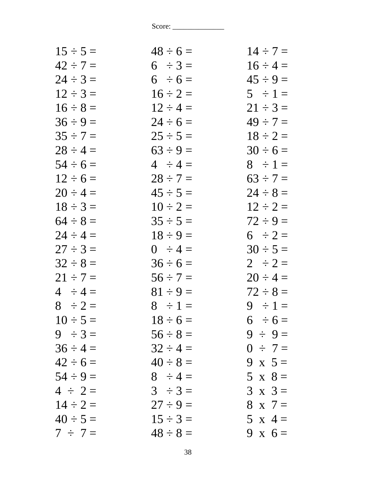| $15 \div 5 =$ | $48 \div 6 =$ | $14 \div 7 =$  |
|---------------|---------------|----------------|
| $42 \div 7 =$ | $6 \div 3 =$  | $16 \div 4 =$  |
| $24 \div 3 =$ | $6 \div 6 =$  | $45 \div 9 =$  |
| $12 \div 3 =$ | $16 \div 2 =$ | $5 \div 1 =$   |
| $16 \div 8 =$ | $12 \div 4 =$ | $21 \div 3 =$  |
| $36 \div 9 =$ | $24 \div 6 =$ | $49 \div 7 =$  |
| $35 \div 7 =$ | $25 \div 5 =$ | $18 \div 2 =$  |
| $28 \div 4 =$ | $63 \div 9 =$ | $30 \div 6 =$  |
| $54 \div 6 =$ | $4 \div 4 =$  | $8 \div 1 =$   |
| $12 \div 6 =$ | $28 \div 7 =$ | $63 \div 7 =$  |
| $20 \div 4 =$ | $45 \div 5 =$ | $24 \div 8 =$  |
| $18 \div 3 =$ | $10 \div 2 =$ | $12 \div 2 =$  |
| $64 \div 8 =$ | $35 \div 5 =$ | $72 \div 9 =$  |
| $24 \div 4 =$ | $18 \div 9 =$ | $6 \div 2 =$   |
| $27 \div 3 =$ | $0 \div 4 =$  | $30 \div 5 =$  |
| $32 \div 8 =$ | $36 \div 6 =$ | $2 \div 2 =$   |
| $21 \div 7 =$ | $56 \div 7 =$ | $20 \div 4 =$  |
| $4 \div 4 =$  | $81 \div 9 =$ | $72 \div 8 =$  |
| $8 \div 2 =$  | $8 \div 1 =$  | $9 \div 1 =$   |
| $10 \div 5 =$ | $18 \div 6 =$ | $6 \div 6 =$   |
| $9 \div 3 =$  | $56 \div 8 =$ | $9 \div 9 =$   |
| $36 \div 4 =$ | $32 \div 4 =$ | $0 \div 7 =$   |
| $42 \div 6 =$ | $40 \div 8 =$ | 9 x $5 =$      |
| $54 \div 9 =$ | $8 \div 4 =$  | $5 \times 8 =$ |
| $4 \div 2 =$  | $3 \div 3 =$  | $3 \times 3 =$ |
| $14 \div 2 =$ | $27 \div 9 =$ | $8 \times 7 =$ |
| $40 \div 5 =$ | $15 \div 3 =$ | 5 x 4 =        |
| $7 \div 7 =$  | $48 \div 8 =$ | 9 x $6=$       |
|               |               |                |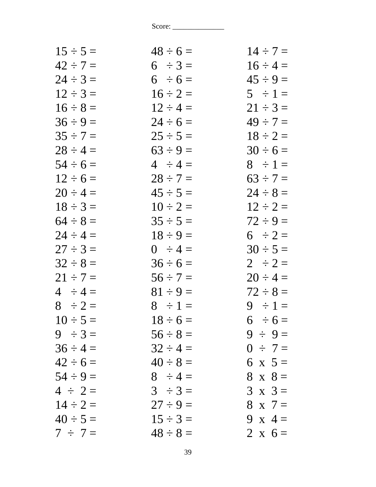| $15 \div 5 =$ | $48 \div 6 =$ | $14 \div 7 =$  |
|---------------|---------------|----------------|
| $42 \div 7 =$ | $6 \div 3 =$  | $16 \div 4 =$  |
| $24 \div 3 =$ | $6 \div 6 =$  | $45 \div 9 =$  |
| $12 \div 3 =$ | $16 \div 2 =$ | $5 \div 1 =$   |
| $16 \div 8 =$ | $12 \div 4 =$ | $21 \div 3 =$  |
| $36 \div 9 =$ | $24 \div 6 =$ | $49 \div 7 =$  |
| $35 \div 7 =$ | $25 \div 5 =$ | $18 \div 2 =$  |
| $28 \div 4 =$ | $63 \div 9 =$ | $30 \div 6 =$  |
| $54 \div 6 =$ | $4 \div 4 =$  | $8 \div 1 =$   |
| $12 \div 6 =$ | $28 \div 7 =$ | $63 \div 7 =$  |
| $20 \div 4 =$ | $45 \div 5 =$ | $24 \div 8 =$  |
| $18 \div 3 =$ | $10 \div 2 =$ | $12 \div 2 =$  |
| $64 \div 8 =$ | $35 \div 5 =$ | $72 \div 9 =$  |
| $24 \div 4 =$ | $18 \div 9 =$ | $6 \div 2 =$   |
| $27 \div 3 =$ | $0 \div 4 =$  | $30 \div 5 =$  |
| $32 \div 8 =$ | $36 \div 6 =$ | $2 \div 2 =$   |
| $21 \div 7 =$ | $56 \div 7 =$ | $20 \div 4 =$  |
| $4 \div 4 =$  | $81 \div 9 =$ | $72 \div 8 =$  |
| $8 \div 2 =$  | $8 \div 1 =$  | $9 \div 1 =$   |
| $10 \div 5 =$ | $18 \div 6 =$ | $6 \div 6 =$   |
| $9 \div 3 =$  | $56 \div 8 =$ | $9 \div 9 =$   |
| $36 \div 4 =$ | $32 \div 4 =$ | $0 \div 7 =$   |
| $42 \div 6 =$ | $40 \div 8 =$ | 6 x $5 =$      |
| $54 \div 9 =$ | $8 \div 4 =$  | $8 \times 8 =$ |
| $4 \div 2 =$  | $3 \div 3 =$  | $3 \times 3 =$ |
| $14 \div 2 =$ | $27 \div 9 =$ | $8 \times 7 =$ |
| $40 \div 5 =$ | $15 \div 3 =$ | 9 x 4 =        |
| $7 \div 7 =$  | $48 \div 8 =$ | 2 x $6 =$      |
|               |               |                |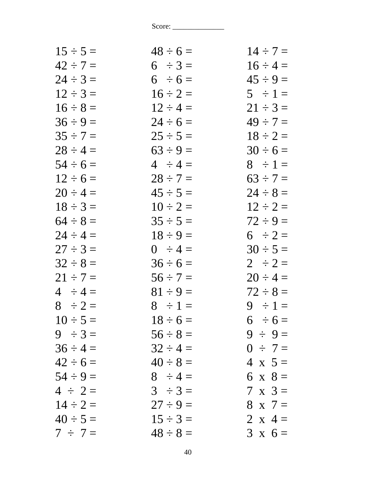| $48 \div 6 =$ | $14 \div 7 =$  |
|---------------|----------------|
| $6 \div 3 =$  | $16 \div 4 =$  |
| $6 \div 6 =$  | $45 \div 9 =$  |
| $16 \div 2 =$ | $5 \div 1 =$   |
| $12 \div 4 =$ | $21 \div 3 =$  |
| $24 \div 6 =$ | $49 \div 7 =$  |
| $25 \div 5 =$ | $18 \div 2 =$  |
| $63 \div 9 =$ | $30 \div 6 =$  |
| $4 \div 4 =$  | $8 \div 1 =$   |
| $28 \div 7 =$ | $63 \div 7 =$  |
| $45 \div 5 =$ | $24 \div 8 =$  |
| $10 \div 2 =$ | $12 \div 2 =$  |
| $35 \div 5 =$ | $72 \div 9 =$  |
| $18 \div 9 =$ | $6 \div 2 =$   |
| $0 \div 4 =$  | $30 \div 5 =$  |
| $36 \div 6 =$ | $2 \div 2 =$   |
| $56 \div 7 =$ | $20 \div 4 =$  |
| $81 \div 9 =$ | $72 \div 8 =$  |
| $8 \div 1 =$  | $9 \div 1 =$   |
| $18 \div 6 =$ | $6 \div 6 =$   |
| $56 \div 8 =$ | $9 \div 9 =$   |
| $32 \div 4 =$ | $0 \div 7 =$   |
| $40 \div 8 =$ | $4 \times 5 =$ |
| $8 \div 4 =$  | 6 x $8 =$      |
| $3 \div 3 =$  | $7 \times 3 =$ |
| $27 \div 9 =$ | $8 \times 7 =$ |
| $15 \div 3 =$ | 2 x 4 =        |
| $48 \div 8 =$ | $3 \times 6 =$ |
|               |                |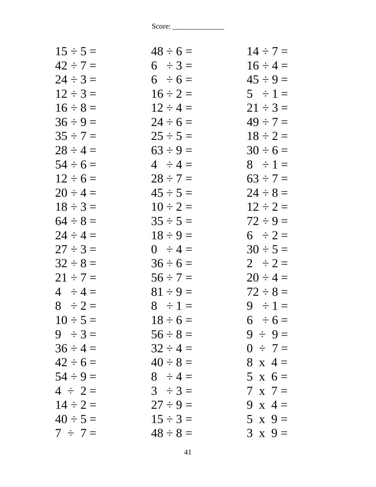| $15 \div 5 =$ | $48 \div 6 =$ | $14 \div 7 =$  |
|---------------|---------------|----------------|
| $42 \div 7 =$ | $6 \div 3 =$  | $16 \div 4 =$  |
| $24 \div 3 =$ | $6 \div 6 =$  | $45 \div 9 =$  |
| $12 \div 3 =$ | $16 \div 2 =$ | $5 \div 1 =$   |
| $16 \div 8 =$ | $12 \div 4 =$ | $21 \div 3 =$  |
| $36 \div 9 =$ | $24 \div 6 =$ | $49 \div 7 =$  |
| $35 \div 7 =$ | $25 \div 5 =$ | $18 \div 2 =$  |
| $28 \div 4 =$ | $63 \div 9 =$ | $30 \div 6 =$  |
| $54 \div 6 =$ | $4 \div 4 =$  | $8 \div 1 =$   |
| $12 \div 6 =$ | $28 \div 7 =$ | $63 \div 7 =$  |
| $20 \div 4 =$ | $45 \div 5 =$ | $24 \div 8 =$  |
| $18 \div 3 =$ | $10 \div 2 =$ | $12 \div 2 =$  |
| $64 \div 8 =$ | $35 \div 5 =$ | $72 \div 9 =$  |
| $24 \div 4 =$ | $18 \div 9 =$ | $6 \div 2 =$   |
| $27 \div 3 =$ | $0 \div 4 =$  | $30 \div 5 =$  |
| $32 \div 8 =$ | $36 \div 6 =$ | $2 \div 2 =$   |
| $21 \div 7 =$ | $56 \div 7 =$ | $20 \div 4 =$  |
| $4 \div 4 =$  | $81 \div 9 =$ | $72 \div 8 =$  |
| $8 \div 2 =$  | $8 \div 1 =$  | $9 \div 1 =$   |
| $10 \div 5 =$ | $18 \div 6 =$ | $6 \div 6 =$   |
| $9 \div 3 =$  | $56 \div 8 =$ | $9 \div 9 =$   |
| $36 \div 4 =$ | $32 \div 4 =$ | $0 \div 7 =$   |
| $42 \div 6 =$ | $40 \div 8 =$ | $8 \times 4 =$ |
| $54 \div 9 =$ | $8 \div 4 =$  | $5 \times 6 =$ |
| $4 \div 2 =$  | $3 \div 3 =$  | $7 \times 7 =$ |
| $14 \div 2 =$ | $27 \div 9 =$ | 9 x $4=$       |
| $40 \div 5 =$ | $15 \div 3 =$ | $5 \times 9=$  |
| $7 \div 7 =$  | $48 \div 8 =$ | $3 \times 9 =$ |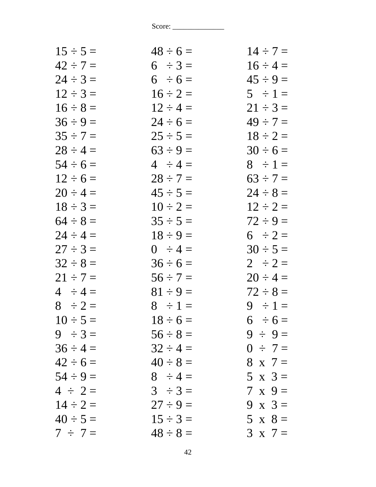| $15 \div 5 =$ | $48 \div 6 =$ | $14 \div 7 =$  |
|---------------|---------------|----------------|
| $42 \div 7 =$ | $6 \div 3 =$  | $16 \div 4 =$  |
| $24 \div 3 =$ | $6 \div 6 =$  | $45 \div 9 =$  |
| $12 \div 3 =$ | $16 \div 2 =$ | $5 \div 1 =$   |
| $16 \div 8 =$ | $12 \div 4 =$ | $21 \div 3 =$  |
| $36 \div 9 =$ | $24 \div 6 =$ | $49 \div 7 =$  |
| $35 \div 7 =$ | $25 \div 5 =$ | $18 \div 2 =$  |
| $28 \div 4 =$ | $63 \div 9 =$ | $30 \div 6 =$  |
| $54 \div 6 =$ | $4 \div 4 =$  | $8 \div 1 =$   |
| $12 \div 6 =$ | $28 \div 7 =$ | $63 \div 7 =$  |
| $20 \div 4 =$ | $45 \div 5 =$ | $24 \div 8 =$  |
| $18 \div 3 =$ | $10 \div 2 =$ | $12 \div 2 =$  |
| $64 \div 8 =$ | $35 \div 5 =$ | $72 \div 9 =$  |
| $24 \div 4 =$ | $18 \div 9 =$ | $6 \div 2 =$   |
| $27 \div 3 =$ | $0 \div 4 =$  | $30 \div 5 =$  |
| $32 \div 8 =$ | $36 \div 6 =$ | $2 \div 2 =$   |
| $21 \div 7 =$ | $56 \div 7 =$ | $20 \div 4 =$  |
| $4 \div 4 =$  | $81 \div 9 =$ | $72 \div 8 =$  |
| $8 \div 2 =$  | $8 \div 1 =$  | $9 \div 1 =$   |
| $10 \div 5 =$ | $18 \div 6 =$ | $6 \div 6 =$   |
| $9 \div 3 =$  | $56 \div 8 =$ | $9 \div 9 =$   |
| $36 \div 4 =$ | $32 \div 4 =$ | $0 \div 7 =$   |
| $42 \div 6 =$ | $40 \div 8 =$ | $8 \times 7 =$ |
| $54 \div 9 =$ | $8 \div 4 =$  | $5 \times 3=$  |
| $4 \div 2 =$  | $3 \div 3 =$  | $7 \times 9 =$ |
| $14 \div 2 =$ | $27 \div 9 =$ | $9 \times 3 =$ |
| $40 \div 5 =$ | $15 \div 3 =$ | $5 \times 8 =$ |
| $7 \div 7 =$  | $48 \div 8 =$ | $3 \times 7 =$ |
|               |               |                |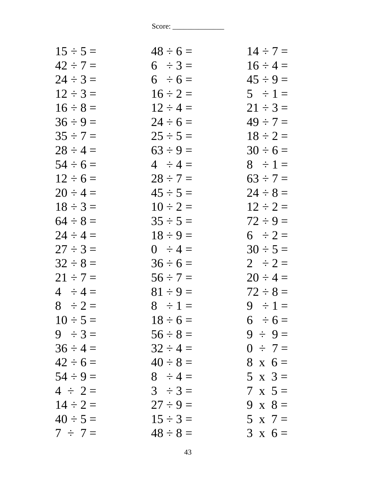| $15 \div 5 =$ | $48 \div 6 =$ | $14 \div 7 =$  |
|---------------|---------------|----------------|
| $42 \div 7 =$ | $6 \div 3 =$  | $16 \div 4 =$  |
| $24 \div 3 =$ | $6 \div 6 =$  | $45 \div 9 =$  |
| $12 \div 3 =$ | $16 \div 2 =$ | $5 \div 1 =$   |
| $16 \div 8 =$ | $12 \div 4 =$ | $21 \div 3 =$  |
| $36 \div 9 =$ | $24 \div 6 =$ | $49 \div 7 =$  |
| $35 \div 7 =$ | $25 \div 5 =$ | $18 \div 2 =$  |
| $28 \div 4 =$ | $63 \div 9 =$ | $30 \div 6 =$  |
| $54 \div 6 =$ | $4 \div 4 =$  | $8 \div 1 =$   |
| $12 \div 6 =$ | $28 \div 7 =$ | $63 \div 7 =$  |
| $20 \div 4 =$ | $45 \div 5 =$ | $24 \div 8 =$  |
| $18 \div 3 =$ | $10 \div 2 =$ | $12 \div 2 =$  |
| $64 \div 8 =$ | $35 \div 5 =$ | $72 \div 9 =$  |
| $24 \div 4 =$ | $18 \div 9 =$ | $6 \div 2 =$   |
| $27 \div 3 =$ | $0 \div 4 =$  | $30 \div 5 =$  |
| $32 \div 8 =$ | $36 \div 6 =$ | $2 \div 2 =$   |
| $21 \div 7 =$ | $56 \div 7 =$ | $20 \div 4 =$  |
| $4 \div 4 =$  | $81 \div 9 =$ | $72 \div 8 =$  |
| $8 \div 2 =$  | $8 \div 1 =$  | $9 \div 1 =$   |
| $10 \div 5 =$ | $18 \div 6 =$ | $6 \div 6 =$   |
| $9 \div 3 =$  | $56 \div 8 =$ | $9 \div 9 =$   |
| $36 \div 4 =$ | $32 \div 4 =$ | $0 \div 7 =$   |
| $42 \div 6 =$ | $40 \div 8 =$ | $8 \times 6 =$ |
| $54 \div 9 =$ | $8 \div 4 =$  | $5 \times 3 =$ |
| $4 \div 2 =$  | $3 \div 3 =$  | $7 \times 5 =$ |
| $14 \div 2 =$ | $27 \div 9 =$ | 9 x $8 =$      |
| $40 \div 5 =$ | $15 \div 3 =$ | $5 \times 7 =$ |
| $7 \div 7 =$  | $48 \div 8 =$ | $3 \times 6 =$ |
|               |               |                |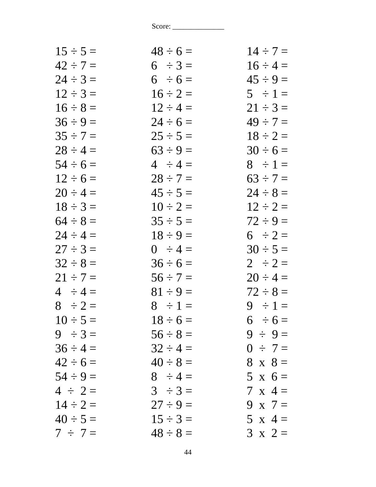| $48 \div 6 =$ | $14 \div 7 =$  |
|---------------|----------------|
| $6 \div 3 =$  | $16 \div 4 =$  |
| $6 \div 6 =$  | $45 \div 9 =$  |
| $16 \div 2 =$ | $5 \div 1 =$   |
| $12 \div 4 =$ | $21 \div 3 =$  |
| $24 \div 6 =$ | $49 \div 7 =$  |
| $25 \div 5 =$ | $18 \div 2 =$  |
| $63 \div 9 =$ | $30 \div 6 =$  |
| $4 \div 4 =$  | $8 \div 1 =$   |
| $28 \div 7 =$ | $63 \div 7 =$  |
| $45 \div 5 =$ | $24 \div 8 =$  |
| $10 \div 2 =$ | $12 \div 2 =$  |
| $35 \div 5 =$ | $72 \div 9 =$  |
| $18 \div 9 =$ | $6 \div 2 =$   |
| $0 \div 4 =$  | $30 \div 5 =$  |
| $36 \div 6 =$ | $2 \div 2 =$   |
| $56 \div 7 =$ | $20 \div 4 =$  |
| $81 \div 9 =$ | $72 \div 8 =$  |
| $8 \div 1 =$  | $9 \div 1 =$   |
| $18 \div 6 =$ | $6 \div 6 =$   |
| $56 \div 8 =$ | $9 \div 9 =$   |
| $32 \div 4 =$ | $0 \div 7 =$   |
| $40 \div 8 =$ | $8 \times 8 =$ |
| $8 \div 4 =$  | $5 \times 6 =$ |
| $3 \div 3 =$  | $7 \times 4 =$ |
| $27 \div 9 =$ | 9 x $7=$       |
| $15 \div 3 =$ | $5 \times 4 =$ |
| $48 \div 8 =$ | $3 \times 2 =$ |
|               |                |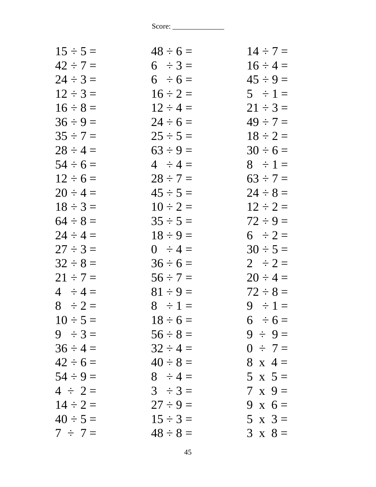| $15 \div 5 =$ | $48 \div 6 =$ | $14 \div 7 =$  |
|---------------|---------------|----------------|
| $42 \div 7 =$ | $6 \div 3 =$  | $16 \div 4 =$  |
| $24 \div 3 =$ | $6 \div 6 =$  | $45 \div 9 =$  |
| $12 \div 3 =$ | $16 \div 2 =$ | $5 \div 1 =$   |
| $16 \div 8 =$ | $12 \div 4 =$ | $21 \div 3 =$  |
| $36 \div 9 =$ | $24 \div 6 =$ | $49 \div 7 =$  |
| $35 \div 7 =$ | $25 \div 5 =$ | $18 \div 2 =$  |
| $28 \div 4 =$ | $63 \div 9 =$ | $30 \div 6 =$  |
| $54 \div 6 =$ | $4 \div 4 =$  | $8 \div 1 =$   |
| $12 \div 6 =$ | $28 \div 7 =$ | $63 \div 7 =$  |
| $20 \div 4 =$ | $45 \div 5 =$ | $24 \div 8 =$  |
| $18 \div 3 =$ | $10 \div 2 =$ | $12 \div 2 =$  |
| $64 \div 8 =$ | $35 \div 5 =$ | $72 \div 9 =$  |
| $24 \div 4 =$ | $18 \div 9 =$ | $6 \div 2 =$   |
| $27 \div 3 =$ | $0 \div 4 =$  | $30 \div 5 =$  |
| $32 \div 8 =$ | $36 \div 6 =$ | $2 \div 2 =$   |
| $21 \div 7 =$ | $56 \div 7 =$ | $20 \div 4 =$  |
| $4 \div 4 =$  | $81 \div 9 =$ | $72 \div 8 =$  |
| $8 \div 2 =$  | $8 \div 1 =$  | $9 \div 1 =$   |
| $10 \div 5 =$ | $18 \div 6 =$ | $6 \div 6 =$   |
| $9 \div 3 =$  | $56 \div 8 =$ | $9 \div 9 =$   |
| $36 \div 4 =$ | $32 \div 4 =$ | $0 \div 7 =$   |
| $42 \div 6 =$ | $40 \div 8 =$ | $8 \times 4 =$ |
| $54 \div 9 =$ | $8 \div 4 =$  | $5 \times 5 =$ |
| $4 \div 2 =$  | $3 \div 3 =$  | $7 \times 9 =$ |
| $14 \div 2 =$ | $27 \div 9 =$ | 9 x $6=$       |
| $40 \div 5 =$ | $15 \div 3 =$ | $5 \times 3 =$ |
| $7 \div 7 =$  | $48 \div 8 =$ | $3 \times 8 =$ |
|               |               |                |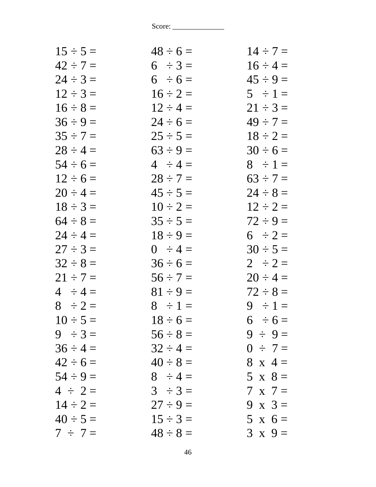| $15 \div 5 =$ | $48 \div 6 =$ | $14 \div 7 =$  |
|---------------|---------------|----------------|
| $42 \div 7 =$ | $6 \div 3 =$  | $16 \div 4 =$  |
| $24 \div 3 =$ | $6 \div 6 =$  | $45 \div 9 =$  |
| $12 \div 3 =$ | $16 \div 2 =$ | $5 \div 1 =$   |
| $16 \div 8 =$ | $12 \div 4 =$ | $21 \div 3 =$  |
| $36 \div 9 =$ | $24 \div 6 =$ | $49 \div 7 =$  |
| $35 \div 7 =$ | $25 \div 5 =$ | $18 \div 2 =$  |
| $28 \div 4 =$ | $63 \div 9 =$ | $30 \div 6 =$  |
| $54 \div 6 =$ | $4 \div 4 =$  | $8 \div 1 =$   |
| $12 \div 6 =$ | $28 \div 7 =$ | $63 \div 7 =$  |
| $20 \div 4 =$ | $45 \div 5 =$ | $24 \div 8 =$  |
| $18 \div 3 =$ | $10 \div 2 =$ | $12 \div 2 =$  |
| $64 \div 8 =$ | $35 \div 5 =$ | $72 \div 9 =$  |
| $24 \div 4 =$ | $18 \div 9 =$ | $6 \div 2 =$   |
| $27 \div 3 =$ | $0 \div 4 =$  | $30 \div 5 =$  |
| $32 \div 8 =$ | $36 \div 6 =$ | $2 \div 2 =$   |
| $21 \div 7 =$ | $56 \div 7 =$ | $20 \div 4 =$  |
| $4 \div 4 =$  | $81 \div 9 =$ | $72 \div 8 =$  |
| $8 \div 2 =$  | $8 \div 1 =$  | $9 \div 1 =$   |
| $10 \div 5 =$ | $18 \div 6 =$ | $6 \div 6 =$   |
| $9 \div 3 =$  | $56 \div 8 =$ | $9 \div 9 =$   |
| $36 \div 4 =$ | $32 \div 4 =$ | $0 \div 7 =$   |
| $42 \div 6 =$ | $40 \div 8 =$ | $8 \times 4 =$ |
| $54 \div 9 =$ | $8 \div 4 =$  | $5 \times 8 =$ |
| $4 \div 2 =$  | $3 \div 3 =$  | $7 \times 7 =$ |
| $14 \div 2 =$ | $27 \div 9 =$ | $9 \times 3 =$ |
| $40 \div 5 =$ | $15 \div 3 =$ | $5 \times 6 =$ |
| $7 \div 7 =$  | $48 \div 8 =$ | $3 \times 9 =$ |
|               |               |                |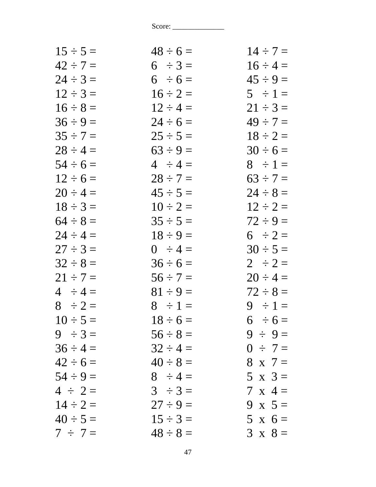| $15 \div 5 =$ | $48 \div 6 =$ | $14 \div 7 =$  |
|---------------|---------------|----------------|
| $42 \div 7 =$ | $6 \div 3 =$  | $16 \div 4 =$  |
| $24 \div 3 =$ | $6 \div 6 =$  | $45 \div 9 =$  |
| $12 \div 3 =$ | $16 \div 2 =$ | $5 \div 1 =$   |
| $16 \div 8 =$ | $12 \div 4 =$ | $21 \div 3 =$  |
| $36 \div 9 =$ | $24 \div 6 =$ | $49 \div 7 =$  |
| $35 \div 7 =$ | $25 \div 5 =$ | $18 \div 2 =$  |
| $28 \div 4 =$ | $63 \div 9 =$ | $30 \div 6 =$  |
| $54 \div 6 =$ | $4 \div 4 =$  | $8 \div 1 =$   |
| $12 \div 6 =$ | $28 \div 7 =$ | $63 \div 7 =$  |
| $20 \div 4 =$ | $45 \div 5 =$ | $24 \div 8 =$  |
| $18 \div 3 =$ | $10 \div 2 =$ | $12 \div 2 =$  |
| $64 \div 8 =$ | $35 \div 5 =$ | $72 \div 9 =$  |
| $24 \div 4 =$ | $18 \div 9 =$ | $6 \div 2 =$   |
| $27 \div 3 =$ | $0 \div 4 =$  | $30 \div 5 =$  |
| $32 \div 8 =$ | $36 \div 6 =$ | $2 \div 2 =$   |
| $21 \div 7 =$ | $56 \div 7 =$ | $20 \div 4 =$  |
| $4 \div 4 =$  | $81 \div 9 =$ | $72 \div 8 =$  |
| $8 \div 2 =$  | $8 \div 1 =$  | $9 \div 1 =$   |
| $10 \div 5 =$ | $18 \div 6 =$ | $6 \div 6 =$   |
| $9 \div 3 =$  | $56 \div 8 =$ | $9 \div 9 =$   |
| $36 \div 4 =$ | $32 \div 4 =$ | $0 \div 7 =$   |
| $42 \div 6 =$ | $40 \div 8 =$ | $8 \times 7 =$ |
| $54 \div 9 =$ | $8 \div 4 =$  | $5 \times 3 =$ |
| $4 \div 2 =$  | $3 \div 3 =$  | $7 \times 4 =$ |
| $14 \div 2 =$ | $27 \div 9 =$ | 9 x $5=$       |
| $40 \div 5 =$ | $15 \div 3 =$ | $5 \times 6 =$ |
| $7 \div 7 =$  | $48 \div 8 =$ | $3 \times 8 =$ |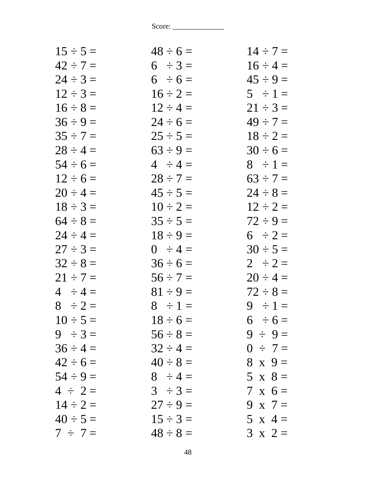| $15 \div 5 =$ | $48 \div 6 =$ | $14 \div 7 =$  |
|---------------|---------------|----------------|
| $42 \div 7 =$ | $6 \div 3 =$  | $16 \div 4 =$  |
| $24 \div 3 =$ | $6 \div 6 =$  | $45 \div 9 =$  |
| $12 \div 3 =$ | $16 \div 2 =$ | $5 \div 1 =$   |
| $16 \div 8 =$ | $12 \div 4 =$ | $21 \div 3 =$  |
| $36 \div 9 =$ | $24 \div 6 =$ | $49 \div 7 =$  |
| $35 \div 7 =$ | $25 \div 5 =$ | $18 \div 2 =$  |
| $28 \div 4 =$ | $63 \div 9 =$ | $30 \div 6 =$  |
| $54 \div 6 =$ | $4 \div 4 =$  | $8 \div 1 =$   |
| $12 \div 6 =$ | $28 \div 7 =$ | $63 \div 7 =$  |
| $20 \div 4 =$ | $45 \div 5 =$ | $24 \div 8 =$  |
| $18 \div 3 =$ | $10 \div 2 =$ | $12 \div 2 =$  |
| $64 \div 8 =$ | $35 \div 5 =$ | $72 \div 9 =$  |
| $24 \div 4 =$ | $18 \div 9 =$ | $6 \div 2 =$   |
| $27 \div 3 =$ | $0 \div 4 =$  | $30 \div 5 =$  |
| $32 \div 8 =$ | $36 \div 6 =$ | $2 \div 2 =$   |
| $21 \div 7 =$ | $56 \div 7 =$ | $20 \div 4 =$  |
| $4 \div 4 =$  | $81 \div 9 =$ | $72 \div 8 =$  |
| $8 \div 2 =$  | $8 \div 1 =$  | $9 \div 1 =$   |
| $10 \div 5 =$ | $18 \div 6 =$ | $6 \div 6 =$   |
| $9 \div 3 =$  | $56 \div 8 =$ | $9 \div 9 =$   |
| $36 \div 4 =$ | $32 \div 4 =$ | $0 \div 7 =$   |
| $42 \div 6 =$ | $40 \div 8 =$ | $8 \times 9 =$ |
| $54 \div 9 =$ | $8 \div 4 =$  | $5 \times 8 =$ |
| $4 \div 2 =$  | $3 \div 3 =$  | $7 \times 6 =$ |
| $14 \div 2 =$ | $27 \div 9 =$ | 9 x $7=$       |
| $40 \div 5 =$ | $15 \div 3 =$ | $5 \times 4 =$ |
| $7 \div 7 =$  | $48 \div 8 =$ | $3 \times 2 =$ |
|               |               |                |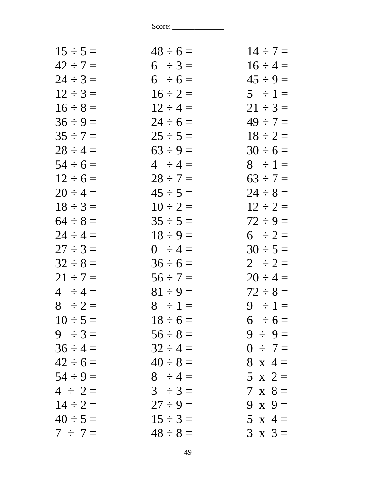| $15 \div 5 =$ | $48 \div 6 =$ | $14 \div 7 =$  |
|---------------|---------------|----------------|
| $42 \div 7 =$ | $6 \div 3 =$  | $16 \div 4 =$  |
| $24 \div 3 =$ | $6 \div 6 =$  | $45 \div 9 =$  |
| $12 \div 3 =$ | $16 \div 2 =$ | $5 \div 1 =$   |
| $16 \div 8 =$ | $12 \div 4 =$ | $21 \div 3 =$  |
| $36 \div 9 =$ | $24 \div 6 =$ | $49 \div 7 =$  |
| $35 \div 7 =$ | $25 \div 5 =$ | $18 \div 2 =$  |
| $28 \div 4 =$ | $63 \div 9 =$ | $30 \div 6 =$  |
| $54 \div 6 =$ | $4 \div 4 =$  | $8 \div 1 =$   |
| $12 \div 6 =$ | $28 \div 7 =$ | $63 \div 7 =$  |
| $20 \div 4 =$ | $45 \div 5 =$ | $24 \div 8 =$  |
| $18 \div 3 =$ | $10 \div 2 =$ | $12 \div 2 =$  |
| $64 \div 8 =$ | $35 \div 5 =$ | $72 \div 9 =$  |
| $24 \div 4 =$ | $18 \div 9 =$ | $6 \div 2 =$   |
| $27 \div 3 =$ | $0 \div 4 =$  | $30 \div 5 =$  |
| $32 \div 8 =$ | $36 \div 6 =$ | $2 \div 2 =$   |
| $21 \div 7 =$ | $56 \div 7 =$ | $20 \div 4 =$  |
| $4 \div 4 =$  | $81 \div 9 =$ | $72 \div 8 =$  |
| $8 \div 2 =$  | $8 \div 1 =$  | $9 \div 1 =$   |
| $10 \div 5 =$ | $18 \div 6 =$ | $6 \div 6 =$   |
| $9 \div 3 =$  | $56 \div 8 =$ | $9 \div 9 =$   |
| $36 \div 4 =$ | $32 \div 4 =$ | $0 \div 7 =$   |
| $42 \div 6 =$ | $40 \div 8 =$ | $8 \times 4 =$ |
| $54 \div 9 =$ | $8 \div 4 =$  | $5 \times 2 =$ |
| $4 \div 2 =$  | $3 \div 3 =$  | $7 \times 8 =$ |
| $14 \div 2 =$ | $27 \div 9 =$ | 9 x $9=$       |
| $40 \div 5 =$ | $15 \div 3 =$ | $5 \times 4 =$ |
| $7 \div 7 =$  | $48 \div 8 =$ | $3 \times 3 =$ |
|               |               |                |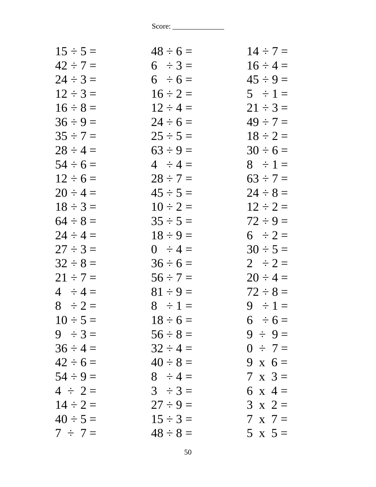| $15 \div 5 =$ | $48 \div 6 =$ | $14 \div 7 =$  |
|---------------|---------------|----------------|
| $42 \div 7 =$ | $6 \div 3 =$  | $16 \div 4 =$  |
| $24 \div 3 =$ | $6 \div 6 =$  | $45 \div 9 =$  |
| $12 \div 3 =$ | $16 \div 2 =$ | $5 \div 1 =$   |
| $16 \div 8 =$ | $12 \div 4 =$ | $21 \div 3 =$  |
| $36 \div 9 =$ | $24 \div 6 =$ | $49 \div 7 =$  |
| $35 \div 7 =$ | $25 \div 5 =$ | $18 \div 2 =$  |
| $28 \div 4 =$ | $63 \div 9 =$ | $30 \div 6 =$  |
| $54 \div 6 =$ | $4 \div 4 =$  | $8 \div 1 =$   |
| $12 \div 6 =$ | $28 \div 7 =$ | $63 \div 7 =$  |
| $20 \div 4 =$ | $45 \div 5 =$ | $24 \div 8 =$  |
| $18 \div 3 =$ | $10 \div 2 =$ | $12 \div 2 =$  |
| $64 \div 8 =$ | $35 \div 5 =$ | $72 \div 9 =$  |
| $24 \div 4 =$ | $18 \div 9 =$ | $6 \div 2 =$   |
| $27 \div 3 =$ | $0 \div 4 =$  | $30 \div 5 =$  |
| $32 \div 8 =$ | $36 \div 6 =$ | $2 \div 2 =$   |
| $21 \div 7 =$ | $56 \div 7 =$ | $20 \div 4 =$  |
| $4 \div 4 =$  | $81 \div 9 =$ | $72 \div 8 =$  |
| $8 \div 2 =$  | $8 \div 1 =$  | $9 \div 1 =$   |
| $10 \div 5 =$ | $18 \div 6 =$ | $6 \div 6 =$   |
| $9 \div 3 =$  | $56 \div 8 =$ | $9 \div 9 =$   |
| $36 \div 4 =$ | $32 \div 4 =$ | $0 \div 7 =$   |
| $42 \div 6 =$ | $40 \div 8 =$ | 9 x $6=$       |
| $54 \div 9 =$ | $8 \div 4 =$  | $7 \times 3 =$ |
| $4 \div 2 =$  | $3 \div 3 =$  | 6 x 4 =        |
| $14 \div 2 =$ | $27 \div 9 =$ | $3 \times 2 =$ |
| $40 \div 5 =$ | $15 \div 3 =$ | $7 \times 7 =$ |
| $7 \div 7 =$  | $48 \div 8 =$ | $5 \times 5 =$ |
|               |               |                |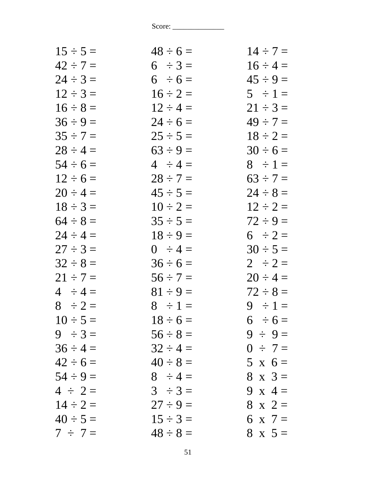| $15 \div 5 =$ | $48 \div 6 =$ | $14 \div 7 =$  |
|---------------|---------------|----------------|
| $42 \div 7 =$ | $6 \div 3 =$  | $16 \div 4 =$  |
| $24 \div 3 =$ | $6 \div 6 =$  | $45 \div 9 =$  |
| $12 \div 3 =$ | $16 \div 2 =$ | $5 \div 1 =$   |
| $16 \div 8 =$ | $12 \div 4 =$ | $21 \div 3 =$  |
| $36 \div 9 =$ | $24 \div 6 =$ | $49 \div 7 =$  |
| $35 \div 7 =$ | $25 \div 5 =$ | $18 \div 2 =$  |
| $28 \div 4 =$ | $63 \div 9 =$ | $30 \div 6 =$  |
| $54 \div 6 =$ | $4 \div 4 =$  | $8 \div 1 =$   |
| $12 \div 6 =$ | $28 \div 7 =$ | $63 \div 7 =$  |
| $20 \div 4 =$ | $45 \div 5 =$ | $24 \div 8 =$  |
| $18 \div 3 =$ | $10 \div 2 =$ | $12 \div 2 =$  |
| $64 \div 8 =$ | $35 \div 5 =$ | $72 \div 9 =$  |
| $24 \div 4 =$ | $18 \div 9 =$ | $6 \div 2 =$   |
| $27 \div 3 =$ | $0 \div 4 =$  | $30 \div 5 =$  |
| $32 \div 8 =$ | $36 \div 6 =$ | $2 \div 2 =$   |
| $21 \div 7 =$ | $56 \div 7 =$ | $20 \div 4 =$  |
| $4 \div 4 =$  | $81 \div 9 =$ | $72 \div 8 =$  |
| $8 \div 2 =$  | $8 \div 1 =$  | $9 \div 1 =$   |
| $10 \div 5 =$ | $18 \div 6 =$ | $6 \div 6 =$   |
| $9 \div 3 =$  | $56 \div 8 =$ | $9 \div 9 =$   |
| $36 \div 4 =$ | $32 \div 4 =$ | $0 \div 7 =$   |
| $42 \div 6 =$ | $40 \div 8 =$ | $5 \times 6 =$ |
| $54 \div 9 =$ | $8 \div 4 =$  | $8 \times 3 =$ |
| $4 \div 2 =$  | $3 \div 3 =$  | 9 x 4 =        |
| $14 \div 2 =$ | $27 \div 9 =$ | $8 \times 2 =$ |
| $40 \div 5 =$ | $15 \div 3 =$ | 6 x 7 $=$      |
| $7 \div 7 =$  | $48 \div 8 =$ | $8 \times 5 =$ |
|               |               |                |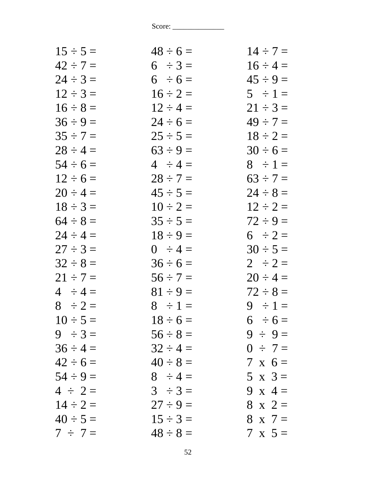| $15 \div 5 =$ | $48 \div 6 =$ | $14 \div 7 =$  |
|---------------|---------------|----------------|
| $42 \div 7 =$ | $6 \div 3 =$  | $16 \div 4 =$  |
| $24 \div 3 =$ | $6 \div 6 =$  | $45 \div 9 =$  |
| $12 \div 3 =$ | $16 \div 2 =$ | $5 \div 1 =$   |
| $16 \div 8 =$ | $12 \div 4 =$ | $21 \div 3 =$  |
| $36 \div 9 =$ | $24 \div 6 =$ | $49 \div 7 =$  |
| $35 \div 7 =$ | $25 \div 5 =$ | $18 \div 2 =$  |
| $28 \div 4 =$ | $63 \div 9 =$ | $30 \div 6 =$  |
| $54 \div 6 =$ | $4 \div 4 =$  | $8 \div 1 =$   |
| $12 \div 6 =$ | $28 \div 7 =$ | $63 \div 7 =$  |
| $20 \div 4 =$ | $45 \div 5 =$ | $24 \div 8 =$  |
| $18 \div 3 =$ | $10 \div 2 =$ | $12 \div 2 =$  |
| $64 \div 8 =$ | $35 \div 5 =$ | $72 \div 9 =$  |
| $24 \div 4 =$ | $18 \div 9 =$ | $6 \div 2 =$   |
| $27 \div 3 =$ | $0 \div 4 =$  | $30 \div 5 =$  |
| $32 \div 8 =$ | $36 \div 6 =$ | $2 \div 2 =$   |
| $21 \div 7 =$ | $56 \div 7 =$ | $20 \div 4 =$  |
| $4 \div 4 =$  | $81 \div 9 =$ | $72 \div 8 =$  |
| $8 \div 2 =$  | $8 \div 1 =$  | $9 \div 1 =$   |
| $10 \div 5 =$ | $18 \div 6 =$ | $6 \div 6 =$   |
| $9 \div 3 =$  | $56 \div 8 =$ | $9 \div 9 =$   |
| $36 \div 4 =$ | $32 \div 4 =$ | $0 \div 7 =$   |
| $42 \div 6 =$ | $40 \div 8 =$ | $7 \times 6 =$ |
| $54 \div 9 =$ | $8 \div 4 =$  | $5 \times 3=$  |
| $4 \div 2 =$  | $3 \div 3 =$  | 9 x 4 =        |
| $14 \div 2 =$ | $27 \div 9 =$ | $8 \times 2 =$ |
| $40 \div 5 =$ | $15 \div 3 =$ | $8 \times 7 =$ |
| $7 \div 7 =$  | $48 \div 8 =$ | $7 \times 5 =$ |
|               |               |                |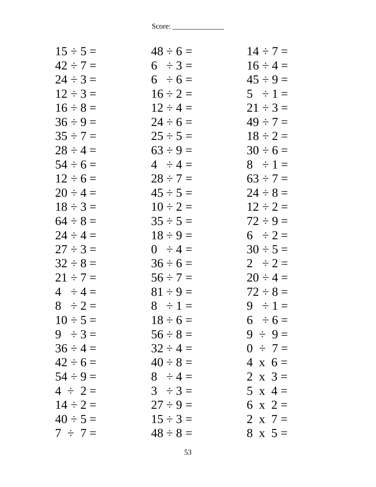| $15 \div 5 =$ | $48 \div 6 =$ | $14 \div 7 =$  |
|---------------|---------------|----------------|
| $42 \div 7 =$ | $6 \div 3 =$  | $16 \div 4 =$  |
| $24 \div 3 =$ | $6 \div 6 =$  | $45 \div 9 =$  |
| $12 \div 3 =$ | $16 \div 2 =$ | $5 \div 1 =$   |
| $16 \div 8 =$ | $12 \div 4 =$ | $21 \div 3 =$  |
| $36 \div 9 =$ | $24 \div 6 =$ | $49 \div 7 =$  |
| $35 \div 7 =$ | $25 \div 5 =$ | $18 \div 2 =$  |
| $28 \div 4 =$ | $63 \div 9 =$ | $30 \div 6 =$  |
| $54 \div 6 =$ | $4 \div 4 =$  | $8 \div 1 =$   |
| $12 \div 6 =$ | $28 \div 7 =$ | $63 \div 7 =$  |
| $20 \div 4 =$ | $45 \div 5 =$ | $24 \div 8 =$  |
| $18 \div 3 =$ | $10 \div 2 =$ | $12 \div 2 =$  |
| $64 \div 8 =$ | $35 \div 5 =$ | $72 \div 9 =$  |
| $24 \div 4 =$ | $18 \div 9 =$ | $6 \div 2 =$   |
| $27 \div 3 =$ | $0 \div 4 =$  | $30 \div 5 =$  |
| $32 \div 8 =$ | $36 \div 6 =$ | $2 \div 2 =$   |
| $21 \div 7 =$ | $56 \div 7 =$ | $20 \div 4 =$  |
| $4 \div 4 =$  | $81 \div 9 =$ | $72 \div 8 =$  |
| $8 \div 2 =$  | $8 \div 1 =$  | $9 \div 1 =$   |
| $10 \div 5 =$ | $18 \div 6 =$ | $6 \div 6 =$   |
| $9 \div 3 =$  | $56 \div 8 =$ | $9 \div 9 =$   |
| $36 \div 4 =$ | $32 \div 4 =$ | $0 \div 7 =$   |
| $42 \div 6 =$ | $40 \div 8 =$ | $4 \times 6 =$ |
| $54 \div 9 =$ | $8 \div 4 =$  | 2 x $3=$       |
| $4 \div 2 =$  | $3 \div 3 =$  | 5 x 4 =        |
| $14 \div 2 =$ | $27 \div 9 =$ | 6 x 2 $=$      |
| $40 \div 5 =$ | $15 \div 3 =$ | 2 x $7=$       |
| $7 \div 7 =$  | $48 \div 8 =$ | $8 \times 5 =$ |
|               |               |                |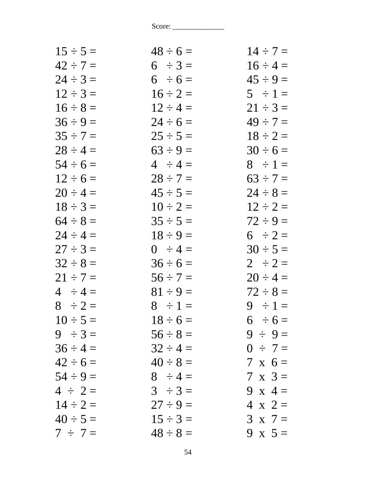| $48 \div 6 =$ | $14 \div 7 =$  |
|---------------|----------------|
| $6 \div 3 =$  | $16 \div 4 =$  |
| $6 \div 6 =$  | $45 \div 9 =$  |
| $16 \div 2 =$ | $5 \div 1 =$   |
| $12 \div 4 =$ | $21 \div 3 =$  |
| $24 \div 6 =$ | $49 \div 7 =$  |
| $25 \div 5 =$ | $18 \div 2 =$  |
| $63 \div 9 =$ | $30 \div 6 =$  |
| $4 \div 4 =$  | $8 \div 1 =$   |
| $28 \div 7 =$ | $63 \div 7 =$  |
| $45 \div 5 =$ | $24 \div 8 =$  |
| $10 \div 2 =$ | $12 \div 2 =$  |
| $35 \div 5 =$ | $72 \div 9 =$  |
| $18 \div 9 =$ | $6 \div 2 =$   |
| $0 \div 4 =$  | $30 \div 5 =$  |
| $36 \div 6 =$ | $2 \div 2 =$   |
| $56 \div 7 =$ | $20 \div 4 =$  |
| $81 \div 9 =$ | $72 \div 8 =$  |
| $8 \div 1 =$  | $9 \div 1 =$   |
| $18 \div 6 =$ | $6 \div 6 =$   |
| $56 \div 8 =$ | $9 \div 9 =$   |
| $32 \div 4 =$ | $0 \div 7 =$   |
| $40 \div 8 =$ | $7 \times 6 =$ |
| $8 \div 4 =$  | $7 \times 3 =$ |
| $3 \div 3 =$  | 9 x 4 =        |
| $27 \div 9 =$ | $4 \times 2 =$ |
| $15 \div 3 =$ | $3 \times 7 =$ |
| $48 \div 8 =$ | 9 x $5 =$      |
|               |                |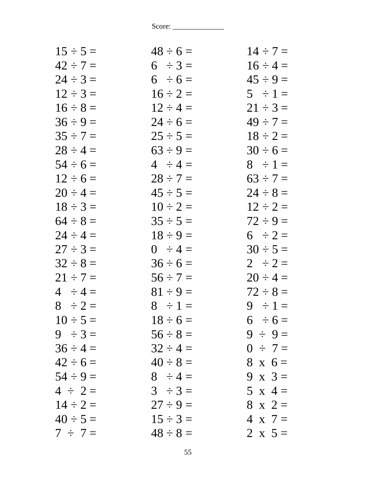| $15 \div 5 =$ | $48 \div 6 =$ | $14 \div 7 =$  |
|---------------|---------------|----------------|
| $42 \div 7 =$ | $6 \div 3 =$  | $16 \div 4 =$  |
| $24 \div 3 =$ | $6 \div 6 =$  | $45 \div 9 =$  |
| $12 \div 3 =$ | $16 \div 2 =$ | $5 \div 1 =$   |
| $16 \div 8 =$ | $12 \div 4 =$ | $21 \div 3 =$  |
| $36 \div 9 =$ | $24 \div 6 =$ | $49 \div 7 =$  |
| $35 \div 7 =$ | $25 \div 5 =$ | $18 \div 2 =$  |
| $28 \div 4 =$ | $63 \div 9 =$ | $30 \div 6 =$  |
| $54 \div 6 =$ | $4 \div 4 =$  | $8 \div 1 =$   |
| $12 \div 6 =$ | $28 \div 7 =$ | $63 \div 7 =$  |
| $20 \div 4 =$ | $45 \div 5 =$ | $24 \div 8 =$  |
| $18 \div 3 =$ | $10 \div 2 =$ | $12 \div 2 =$  |
| $64 \div 8 =$ | $35 \div 5 =$ | $72 \div 9 =$  |
| $24 \div 4 =$ | $18 \div 9 =$ | $6 \div 2 =$   |
| $27 \div 3 =$ | $0 \div 4 =$  | $30 \div 5 =$  |
| $32 \div 8 =$ | $36 \div 6 =$ | $2 \div 2 =$   |
| $21 \div 7 =$ | $56 \div 7 =$ | $20 \div 4 =$  |
| $4 \div 4 =$  | $81 \div 9 =$ | $72 \div 8 =$  |
| $8 \div 2 =$  | $8 \div 1 =$  | $9 \div 1 =$   |
| $10 \div 5 =$ | $18 \div 6 =$ | $6 \div 6 =$   |
| $9 \div 3 =$  | $56 \div 8 =$ | $9 \div 9 =$   |
| $36 \div 4 =$ | $32 \div 4 =$ | $0 \div 7 =$   |
| $42 \div 6 =$ | $40 \div 8 =$ | $8 \times 6 =$ |
| $54 \div 9 =$ | $8 \div 4 =$  | 9 x $3=$       |
| $4 \div 2 =$  | $3 \div 3 =$  | 5 x 4 =        |
| $14 \div 2 =$ | $27 \div 9 =$ | $8 \times 2 =$ |
| $40 \div 5 =$ | $15 \div 3 =$ | $4 \times 7 =$ |
| $7 \div 7 =$  | $48 \div 8 =$ | 2 x $5 =$      |
|               |               |                |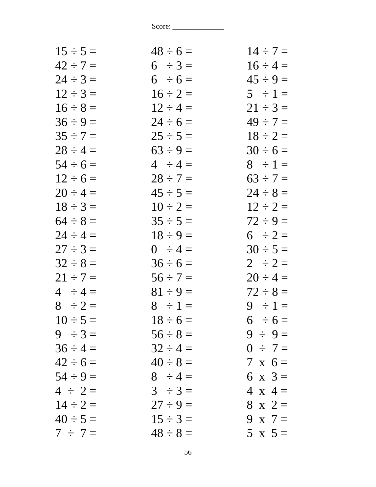| $15 \div 5 =$ | $48 \div 6 =$ | $14 \div 7 =$  |
|---------------|---------------|----------------|
| $42 \div 7 =$ | $6 \div 3 =$  | $16 \div 4 =$  |
| $24 \div 3 =$ | $6 \div 6 =$  | $45 \div 9 =$  |
| $12 \div 3 =$ | $16 \div 2 =$ | $5 \div 1 =$   |
| $16 \div 8 =$ | $12 \div 4 =$ | $21 \div 3 =$  |
| $36 \div 9 =$ | $24 \div 6 =$ | $49 \div 7 =$  |
| $35 \div 7 =$ | $25 \div 5 =$ | $18 \div 2 =$  |
| $28 \div 4 =$ | $63 \div 9 =$ | $30 \div 6 =$  |
| $54 \div 6 =$ | $4 \div 4 =$  | $8 \div 1 =$   |
| $12 \div 6 =$ | $28 \div 7 =$ | $63 \div 7 =$  |
| $20 \div 4 =$ | $45 \div 5 =$ | $24 \div 8 =$  |
| $18 \div 3 =$ | $10 \div 2 =$ | $12 \div 2 =$  |
| $64 \div 8 =$ | $35 \div 5 =$ | $72 \div 9 =$  |
| $24 \div 4 =$ | $18 \div 9 =$ | $6 \div 2 =$   |
| $27 \div 3 =$ | $0 \div 4 =$  | $30 \div 5 =$  |
| $32 \div 8 =$ | $36 \div 6 =$ | $2 \div 2 =$   |
| $21 \div 7 =$ | $56 \div 7 =$ | $20 \div 4 =$  |
| $4 \div 4 =$  | $81 \div 9 =$ | $72 \div 8 =$  |
| $8 \div 2 =$  | $8 \div 1 =$  | $9 \div 1 =$   |
| $10 \div 5 =$ | $18 \div 6 =$ | $6 \div 6 =$   |
| $9 \div 3 =$  | $56 \div 8 =$ | $9 \div 9 =$   |
| $36 \div 4 =$ | $32 \div 4 =$ | $0 \div 7 =$   |
| $42 \div 6 =$ | $40 \div 8 =$ | $7 \times 6 =$ |
| $54 \div 9 =$ | $8 \div 4 =$  | 6 x $3 =$      |
| $4 \div 2 =$  | $3 \div 3 =$  | $4 \times 4 =$ |
| $14 \div 2 =$ | $27 \div 9 =$ | $8 \times 2 =$ |
| $40 \div 5 =$ | $15 \div 3 =$ | 9 x $7=$       |
| $7 \div 7 =$  | $48 \div 8 =$ | $5 \times 5 =$ |
|               |               |                |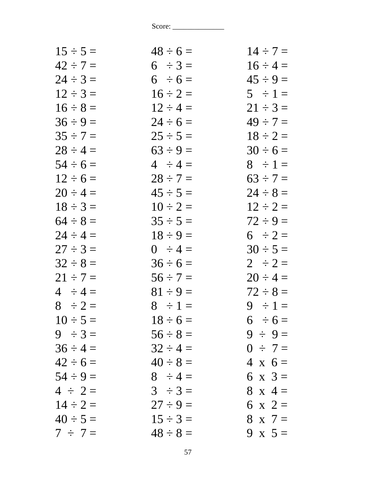| $15 \div 5 =$ | $48 \div 6 =$ | $14 \div 7 =$  |
|---------------|---------------|----------------|
| $42 \div 7 =$ | $6 \div 3 =$  | $16 \div 4 =$  |
| $24 \div 3 =$ | $6 \div 6 =$  | $45 \div 9 =$  |
| $12 \div 3 =$ | $16 \div 2 =$ | $5 \div 1 =$   |
| $16 \div 8 =$ | $12 \div 4 =$ | $21 \div 3 =$  |
| $36 \div 9 =$ | $24 \div 6 =$ | $49 \div 7 =$  |
| $35 \div 7 =$ | $25 \div 5 =$ | $18 \div 2 =$  |
| $28 \div 4 =$ | $63 \div 9 =$ | $30 \div 6 =$  |
| $54 \div 6 =$ | $4 \div 4 =$  | $8 \div 1 =$   |
| $12 \div 6 =$ | $28 \div 7 =$ | $63 \div 7 =$  |
| $20 \div 4 =$ | $45 \div 5 =$ | $24 \div 8 =$  |
| $18 \div 3 =$ | $10 \div 2 =$ | $12 \div 2 =$  |
| $64 \div 8 =$ | $35 \div 5 =$ | $72 \div 9 =$  |
| $24 \div 4 =$ | $18 \div 9 =$ | $6 \div 2 =$   |
| $27 \div 3 =$ | $0 \div 4 =$  | $30 \div 5 =$  |
| $32 \div 8 =$ | $36 \div 6 =$ | $2 \div 2 =$   |
| $21 \div 7 =$ | $56 \div 7 =$ | $20 \div 4 =$  |
| $4 \div 4 =$  | $81 \div 9 =$ | $72 \div 8 =$  |
| $8 \div 2 =$  | $8 \div 1 =$  | $9 \div 1 =$   |
| $10 \div 5 =$ | $18 \div 6 =$ | $6 \div 6 =$   |
| $9 \div 3 =$  | $56 \div 8 =$ | $9 \div 9 =$   |
| $36 \div 4 =$ | $32 \div 4 =$ | $0 \div 7 =$   |
| $42 \div 6 =$ | $40 \div 8 =$ | $4 \times 6 =$ |
| $54 \div 9 =$ | $8 \div 4 =$  | 6 x $3 =$      |
| $4 \div 2 =$  | $3 \div 3 =$  | $8 \times 4 =$ |
| $14 \div 2 =$ | $27 \div 9 =$ | 6 x 2 $=$      |
| $40 \div 5 =$ | $15 \div 3 =$ | $8 \times 7 =$ |
| $7 \div 7 =$  | $48 \div 8 =$ | 9 x $5 =$      |
|               |               |                |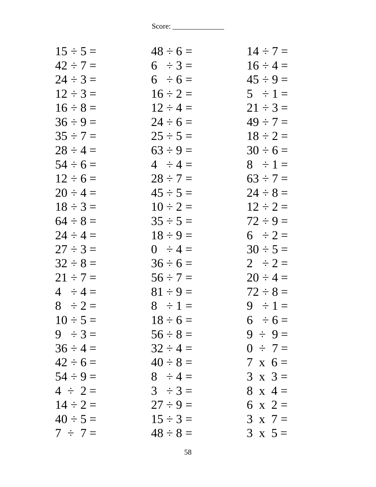| $15 \div 5 =$ | $48 \div 6 =$ | $14 \div 7 =$  |
|---------------|---------------|----------------|
| $42 \div 7 =$ | $6 \div 3 =$  | $16 \div 4 =$  |
| $24 \div 3 =$ | $6 \div 6 =$  | $45 \div 9 =$  |
| $12 \div 3 =$ | $16 \div 2 =$ | $5 \div 1 =$   |
| $16 \div 8 =$ | $12 \div 4 =$ | $21 \div 3 =$  |
| $36 \div 9 =$ | $24 \div 6 =$ | $49 \div 7 =$  |
| $35 \div 7 =$ | $25 \div 5 =$ | $18 \div 2 =$  |
| $28 \div 4 =$ | $63 \div 9 =$ | $30 \div 6 =$  |
| $54 \div 6 =$ | $4 \div 4 =$  | $8 \div 1 =$   |
| $12 \div 6 =$ | $28 \div 7 =$ | $63 \div 7 =$  |
| $20 \div 4 =$ | $45 \div 5 =$ | $24 \div 8 =$  |
| $18 \div 3 =$ | $10 \div 2 =$ | $12 \div 2 =$  |
| $64 \div 8 =$ | $35 \div 5 =$ | $72 \div 9 =$  |
| $24 \div 4 =$ | $18 \div 9 =$ | $6 \div 2 =$   |
| $27 \div 3 =$ | $0 \div 4 =$  | $30 \div 5 =$  |
| $32 \div 8 =$ | $36 \div 6 =$ | $2 \div 2 =$   |
| $21 \div 7 =$ | $56 \div 7 =$ | $20 \div 4 =$  |
| $4 \div 4 =$  | $81 \div 9 =$ | $72 \div 8 =$  |
| $8 \div 2 =$  | $8 \div 1 =$  | $9 \div 1 =$   |
| $10 \div 5 =$ | $18 \div 6 =$ | $6 \div 6 =$   |
| $9 \div 3 =$  | $56 \div 8 =$ | $9 \div 9 =$   |
| $36 \div 4 =$ | $32 \div 4 =$ | $0 \div 7 =$   |
| $42 \div 6 =$ | $40 \div 8 =$ | $7 \times 6 =$ |
| $54 \div 9 =$ | $8 \div 4 =$  | $3 \times 3 =$ |
| $4 \div 2 =$  | $3 \div 3 =$  | $8 \times 4 =$ |
| $14 \div 2 =$ | $27 \div 9 =$ | 6 x 2 =        |
| $40 \div 5 =$ | $15 \div 3 =$ | $3 \times 7 =$ |
| $7 \div 7 =$  | $48 \div 8 =$ | $3 \times 5 =$ |
|               |               |                |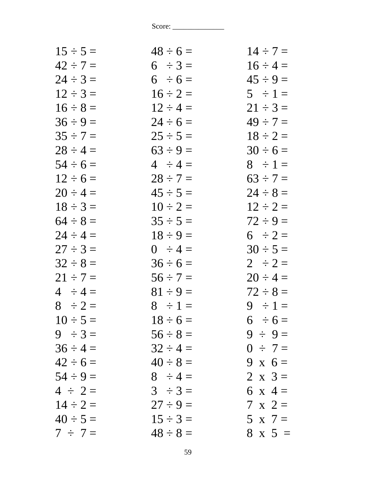| $15 \div 5 =$ | $48 \div 6 =$ | $14 \div 7 =$  |
|---------------|---------------|----------------|
| $42 \div 7 =$ | $6 \div 3 =$  | $16 \div 4 =$  |
| $24 \div 3 =$ | $6 \div 6 =$  | $45 \div 9 =$  |
| $12 \div 3 =$ | $16 \div 2 =$ | $5 \div 1 =$   |
| $16 \div 8 =$ | $12 \div 4 =$ | $21 \div 3 =$  |
| $36 \div 9 =$ | $24 \div 6 =$ | $49 \div 7 =$  |
| $35 \div 7 =$ | $25 \div 5 =$ | $18 \div 2 =$  |
| $28 \div 4 =$ | $63 \div 9 =$ | $30 \div 6 =$  |
| $54 \div 6 =$ | $4 \div 4 =$  | $8 \div 1 =$   |
| $12 \div 6 =$ | $28 \div 7 =$ | $63 \div 7 =$  |
| $20 \div 4 =$ | $45 \div 5 =$ | $24 \div 8 =$  |
| $18 \div 3 =$ | $10 \div 2 =$ | $12 \div 2 =$  |
| $64 \div 8 =$ | $35 \div 5 =$ | $72 \div 9 =$  |
| $24 \div 4 =$ | $18 \div 9 =$ | $6 \div 2 =$   |
| $27 \div 3 =$ | $0 \div 4 =$  | $30 \div 5 =$  |
| $32 \div 8 =$ | $36 \div 6 =$ | $2 \div 2 =$   |
| $21 \div 7 =$ | $56 \div 7 =$ | $20 \div 4 =$  |
| $4 \div 4 =$  | $81 \div 9 =$ | $72 \div 8 =$  |
| $8 \div 2 =$  | $8 \div 1 =$  | $9 \div 1 =$   |
| $10 \div 5 =$ | $18 \div 6 =$ | $6 \div 6 =$   |
| $9 \div 3 =$  | $56 \div 8 =$ | $9 \div 9 =$   |
| $36 \div 4 =$ | $32 \div 4 =$ | $0 \div 7 =$   |
| $42 \div 6 =$ | $40 \div 8 =$ | 9 x $6 =$      |
| $54 \div 9 =$ | $8 \div 4 =$  | 2 x $3 =$      |
| $4 \div 2 =$  | $3 \div 3 =$  | 6 x 4 =        |
| $14 \div 2 =$ | $27 \div 9 =$ | $7 \times 2 =$ |
| $40 \div 5 =$ | $15 \div 3 =$ | $5 \times 7 =$ |
| $7 \div 7 =$  | $48 \div 8 =$ | $8 \times 5 =$ |
|               |               |                |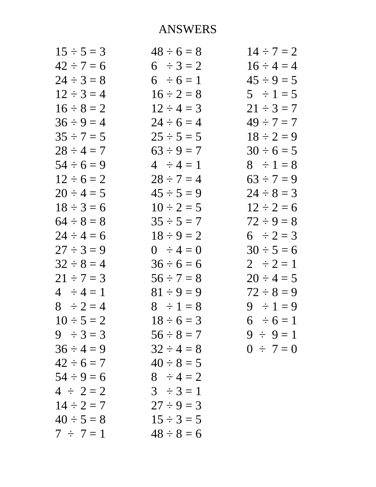| $15 \div 5 = 3$ | $48 \div 6 = 8$ | $14 \div 7 = 2$ |
|-----------------|-----------------|-----------------|
| $42 \div 7 = 6$ | $6 \div 3 = 2$  | $16 \div 4 = 4$ |
| $24 \div 3 = 8$ | $6 \div 6 = 1$  | $45 \div 9 = 5$ |
| $12 \div 3 = 4$ | $16 \div 2 = 8$ | $5 \div 1 = 5$  |
| $16 \div 8 = 2$ | $12 \div 4 = 3$ | $21 \div 3 = 7$ |
| $36 \div 9 = 4$ | $24 \div 6 = 4$ | $49 \div 7 = 7$ |
| $35 \div 7 = 5$ | $25 \div 5 = 5$ | $18 \div 2 = 9$ |
| $28 \div 4 = 7$ | $63 \div 9 = 7$ | $30 \div 6 = 5$ |
| $54 \div 6 = 9$ | $4 \div 4 = 1$  | $8 \div 1 = 8$  |
| $12 \div 6 = 2$ | $28 \div 7 = 4$ | $63 \div 7 = 9$ |
| $20 \div 4 = 5$ | $45 \div 5 = 9$ | $24 \div 8 = 3$ |
| $18 \div 3 = 6$ | $10 \div 2 = 5$ | $12 \div 2 = 6$ |
| $64 \div 8 = 8$ | $35 \div 5 = 7$ | $72 \div 9 = 8$ |
| $24 \div 4 = 6$ | $18 \div 9 = 2$ | 6 $\div 2 = 3$  |
| $27 \div 3 = 9$ | $0 \div 4 = 0$  | $30 \div 5 = 6$ |
| $32 \div 8 = 4$ | $36 \div 6 = 6$ | $2 \div 2 = 1$  |
| $21 \div 7 = 3$ | $56 \div 7 = 8$ | $20 \div 4 = 5$ |
| $4 \div 4 = 1$  | $81 \div 9 = 9$ | $72 \div 8 = 9$ |
| $8 \div 2 = 4$  | $8 \div 1 = 8$  | $9 \div 1 = 9$  |
| $10 \div 5 = 2$ | $18 \div 6 = 3$ | $6 \div 6 = 1$  |
| $9 \div 3 = 3$  | $56 \div 8 = 7$ | $9 \div 9 = 1$  |
| $36 \div 4 = 9$ | $32 \div 4 = 8$ | $0 \div 7 = 0$  |
| $42 \div 6 = 7$ | $40 \div 8 = 5$ |                 |
| $54 \div 9 = 6$ | $8 \div 4 = 2$  |                 |
| $4 \div 2 = 2$  | $3 \div 3 = 1$  |                 |
| $14 \div 2 = 7$ | $27 \div 9 = 3$ |                 |
| $40 \div 5 = 8$ | $15 \div 3 = 5$ |                 |
| $7 \div 7 = 1$  | $48 \div 8 = 6$ |                 |